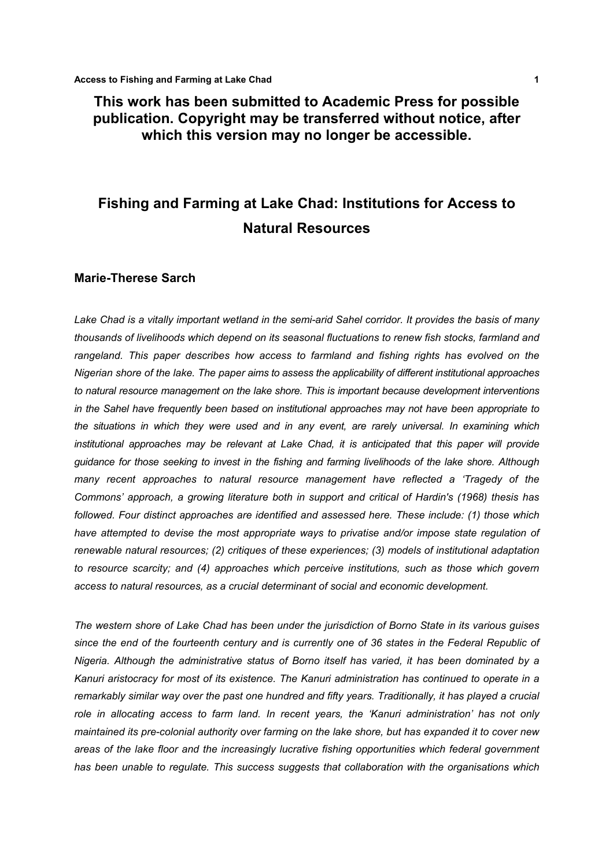**This work has been submitted to Academic Press for possible publication. Copyright may be transferred without notice, after which this version may no longer be accessible.** 

# **Fishing and Farming at Lake Chad: Institutions for Access to Natural Resources**

### **Marie-Therese Sarch**

*Lake Chad is a vitally important wetland in the semi-arid Sahel corridor. It provides the basis of many thousands of livelihoods which depend on its seasonal fluctuations to renew fish stocks, farmland and*  rangeland. This paper describes how access to farmland and fishing rights has evolved on the *Nigerian shore of the lake. The paper aims to assess the applicability of different institutional approaches to natural resource management on the lake shore. This is important because development interventions in the Sahel have frequently been based on institutional approaches may not have been appropriate to the situations in which they were used and in any event, are rarely universal. In examining which institutional approaches may be relevant at Lake Chad, it is anticipated that this paper will provide guidance for those seeking to invest in the fishing and farming livelihoods of the lake shore. Although many recent approaches to natural resource management have reflected a 'Tragedy of the Commons' approach, a growing literature both in support and critical of Hardin's (1968) thesis has followed. Four distinct approaches are identified and assessed here. These include: (1) those which have attempted to devise the most appropriate ways to privatise and/or impose state regulation of renewable natural resources; (2) critiques of these experiences; (3) models of institutional adaptation to resource scarcity; and (4) approaches which perceive institutions, such as those which govern access to natural resources, as a crucial determinant of social and economic development.* 

*The western shore of Lake Chad has been under the jurisdiction of Borno State in its various guises since the end of the fourteenth century and is currently one of 36 states in the Federal Republic of Nigeria. Although the administrative status of Borno itself has varied, it has been dominated by a Kanuri aristocracy for most of its existence. The Kanuri administration has continued to operate in a remarkably similar way over the past one hundred and fifty years. Traditionally, it has played a crucial role in allocating access to farm land. In recent years, the 'Kanuri administration' has not only maintained its pre-colonial authority over farming on the lake shore, but has expanded it to cover new areas of the lake floor and the increasingly lucrative fishing opportunities which federal government has been unable to regulate. This success suggests that collaboration with the organisations which*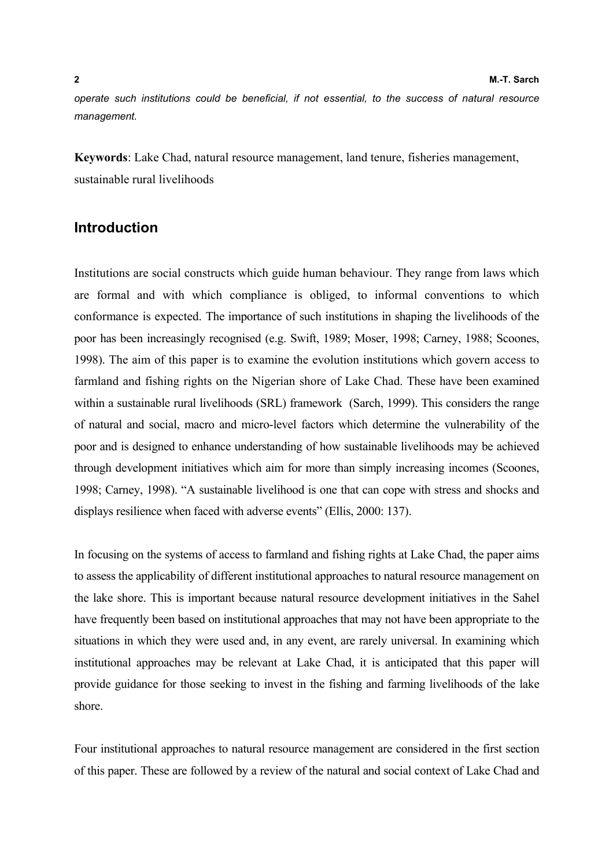*operate such institutions could be beneficial, if not essential, to the success of natural resource management.* 

**Keywords**: Lake Chad, natural resource management, land tenure, fisheries management, sustainable rural livelihoods

# **Introduction**

Institutions are social constructs which guide human behaviour. They range from laws which are formal and with which compliance is obliged, to informal conventions to which conformance is expected. The importance of such institutions in shaping the livelihoods of the poor has been increasingly recognised (e.g. Swift, 1989; Moser, 1998; Carney, 1988; Scoones, 1998). The aim of this paper is to examine the evolution institutions which govern access to farmland and fishing rights on the Nigerian shore of Lake Chad. These have been examined within a sustainable rural livelihoods (SRL) framework (Sarch, 1999). This considers the range of natural and social, macro and micro-level factors which determine the vulnerability of the poor and is designed to enhance understanding of how sustainable livelihoods may be achieved through development initiatives which aim for more than simply increasing incomes (Scoones, 1998; Carney, 1998). "A sustainable livelihood is one that can cope with stress and shocks and displays resilience when faced with adverse events" (Ellis, 2000: 137).

In focusing on the systems of access to farmland and fishing rights at Lake Chad, the paper aims to assess the applicability of different institutional approaches to natural resource management on the lake shore. This is important because natural resource development initiatives in the Sahel have frequently been based on institutional approaches that may not have been appropriate to the situations in which they were used and, in any event, are rarely universal. In examining which institutional approaches may be relevant at Lake Chad, it is anticipated that this paper will provide guidance for those seeking to invest in the fishing and farming livelihoods of the lake shore.

Four institutional approaches to natural resource management are considered in the first section of this paper. These are followed by a review of the natural and social context of Lake Chad and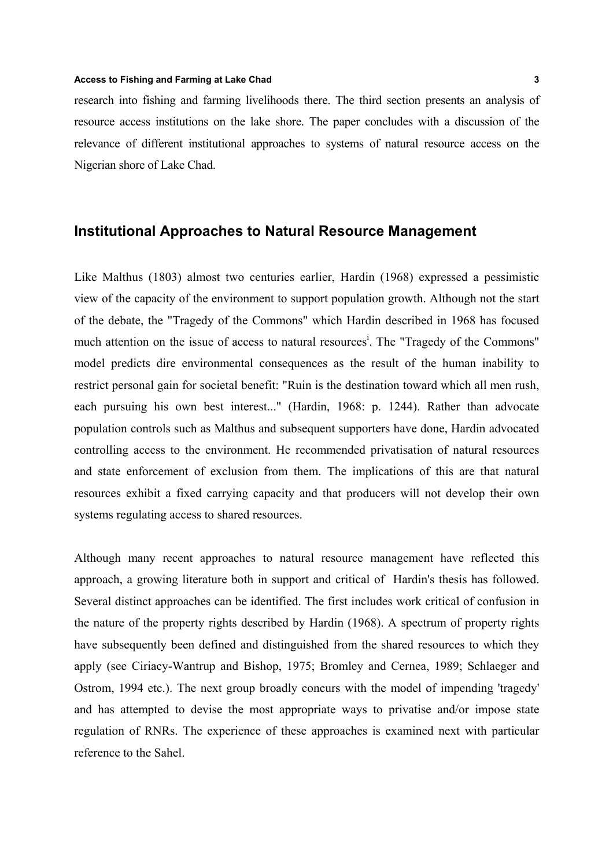research into fishing and farming livelihoods there. The third section presents an analysis of resource access institutions on the lake shore. The paper concludes with a discussion of the relevance of different institutional approaches to systems of natural resource access on the Nigerian shore of Lake Chad.

# **Institutional Approaches to Natural Resource Management**

Like Malthus (1803) almost two centuries earlier, Hardin (1968) expressed a pessimistic view of the capacity of the environment to support population growth. Although not the start of the debate, the "Tragedy of the Commons" which Hardin described in 1968 has focused much attention on the issue of access to natural resources<sup>i</sup>. The "Tragedy of the Commons" model predicts dire environmental consequences as the result of the human inability to restrict personal gain for societal benefit: "Ruin is the destination toward which all men rush, each pursuing his own best interest..." (Hardin, 1968: p. 1244). Rather than advocate population controls such as Malthus and subsequent supporters have done, Hardin advocated controlling access to the environment. He recommended privatisation of natural resources and state enforcement of exclusion from them. The implications of this are that natural resources exhibit a fixed carrying capacity and that producers will not develop their own systems regulating access to shared resources.

Although many recent approaches to natural resource management have reflected this approach, a growing literature both in support and critical of Hardin's thesis has followed. Several distinct approaches can be identified. The first includes work critical of confusion in the nature of the property rights described by Hardin (1968). A spectrum of property rights have subsequently been defined and distinguished from the shared resources to which they apply (see Ciriacy-Wantrup and Bishop, 1975; Bromley and Cernea, 1989; Schlaeger and Ostrom, 1994 etc.). The next group broadly concurs with the model of impending 'tragedy' and has attempted to devise the most appropriate ways to privatise and/or impose state regulation of RNRs. The experience of these approaches is examined next with particular reference to the Sahel.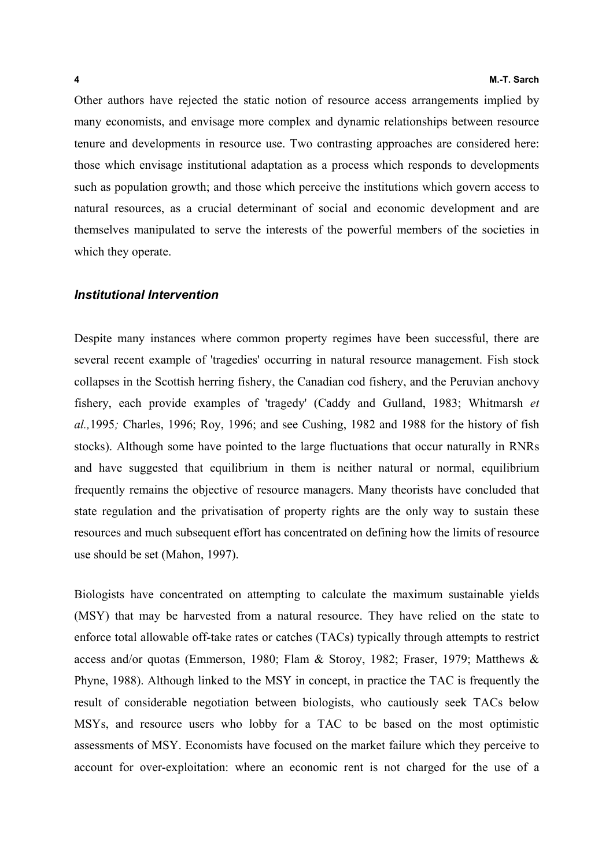Other authors have rejected the static notion of resource access arrangements implied by many economists, and envisage more complex and dynamic relationships between resource tenure and developments in resource use. Two contrasting approaches are considered here: those which envisage institutional adaptation as a process which responds to developments such as population growth; and those which perceive the institutions which govern access to natural resources, as a crucial determinant of social and economic development and are themselves manipulated to serve the interests of the powerful members of the societies in which they operate.

### *Institutional Intervention*

Despite many instances where common property regimes have been successful, there are several recent example of 'tragedies' occurring in natural resource management. Fish stock collapses in the Scottish herring fishery, the Canadian cod fishery, and the Peruvian anchovy fishery, each provide examples of 'tragedy' (Caddy and Gulland, 1983; Whitmarsh *et al.,*1995*;* Charles, 1996; Roy, 1996; and see Cushing, 1982 and 1988 for the history of fish stocks). Although some have pointed to the large fluctuations that occur naturally in RNRs and have suggested that equilibrium in them is neither natural or normal, equilibrium frequently remains the objective of resource managers. Many theorists have concluded that state regulation and the privatisation of property rights are the only way to sustain these resources and much subsequent effort has concentrated on defining how the limits of resource use should be set (Mahon, 1997).

Biologists have concentrated on attempting to calculate the maximum sustainable yields (MSY) that may be harvested from a natural resource. They have relied on the state to enforce total allowable off-take rates or catches (TACs) typically through attempts to restrict access and/or quotas (Emmerson, 1980; Flam & Storoy, 1982; Fraser, 1979; Matthews & Phyne, 1988). Although linked to the MSY in concept, in practice the TAC is frequently the result of considerable negotiation between biologists, who cautiously seek TACs below MSYs, and resource users who lobby for a TAC to be based on the most optimistic assessments of MSY. Economists have focused on the market failure which they perceive to account for over-exploitation: where an economic rent is not charged for the use of a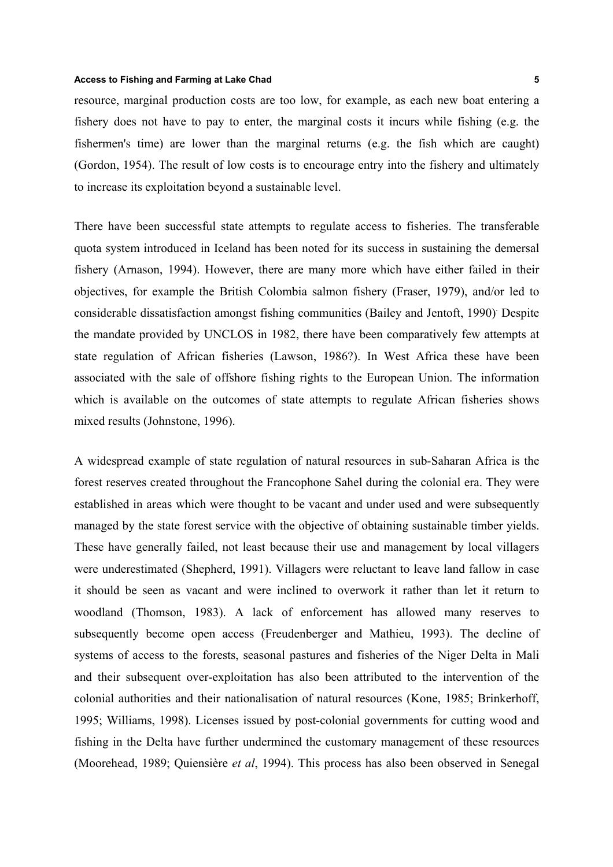resource, marginal production costs are too low, for example, as each new boat entering a fishery does not have to pay to enter, the marginal costs it incurs while fishing (e.g. the fishermen's time) are lower than the marginal returns (e.g. the fish which are caught) (Gordon, 1954). The result of low costs is to encourage entry into the fishery and ultimately to increase its exploitation beyond a sustainable level.

There have been successful state attempts to regulate access to fisheries. The transferable quota system introduced in Iceland has been noted for its success in sustaining the demersal fishery (Arnason, 1994). However, there are many more which have either failed in their objectives, for example the British Colombia salmon fishery (Fraser, 1979), and/or led to considerable dissatisfaction amongst fishing communities (Bailey and Jentoft, 1990). Despite the mandate provided by UNCLOS in 1982, there have been comparatively few attempts at state regulation of African fisheries (Lawson, 1986?). In West Africa these have been associated with the sale of offshore fishing rights to the European Union. The information which is available on the outcomes of state attempts to regulate African fisheries shows mixed results (Johnstone, 1996).

A widespread example of state regulation of natural resources in sub-Saharan Africa is the forest reserves created throughout the Francophone Sahel during the colonial era. They were established in areas which were thought to be vacant and under used and were subsequently managed by the state forest service with the objective of obtaining sustainable timber yields. These have generally failed, not least because their use and management by local villagers were underestimated (Shepherd, 1991). Villagers were reluctant to leave land fallow in case it should be seen as vacant and were inclined to overwork it rather than let it return to woodland (Thomson, 1983). A lack of enforcement has allowed many reserves to subsequently become open access (Freudenberger and Mathieu, 1993). The decline of systems of access to the forests, seasonal pastures and fisheries of the Niger Delta in Mali and their subsequent over-exploitation has also been attributed to the intervention of the colonial authorities and their nationalisation of natural resources (Kone, 1985; Brinkerhoff, 1995; Williams, 1998). Licenses issued by post-colonial governments for cutting wood and fishing in the Delta have further undermined the customary management of these resources (Moorehead, 1989; Quiensière *et al*, 1994). This process has also been observed in Senegal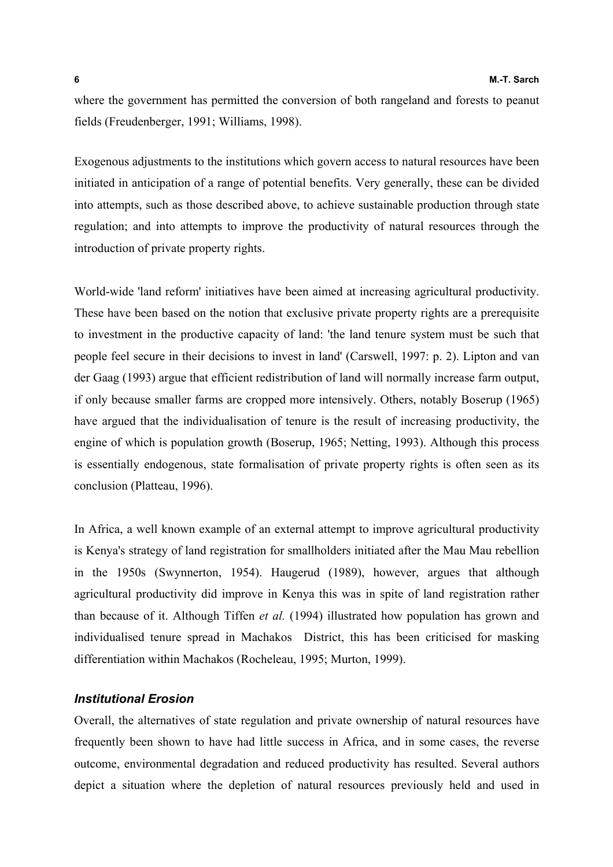where the government has permitted the conversion of both rangeland and forests to peanut fields (Freudenberger, 1991; Williams, 1998).

Exogenous adjustments to the institutions which govern access to natural resources have been initiated in anticipation of a range of potential benefits. Very generally, these can be divided into attempts, such as those described above, to achieve sustainable production through state regulation; and into attempts to improve the productivity of natural resources through the introduction of private property rights.

World-wide 'land reform' initiatives have been aimed at increasing agricultural productivity. These have been based on the notion that exclusive private property rights are a prerequisite to investment in the productive capacity of land: 'the land tenure system must be such that people feel secure in their decisions to invest in land' (Carswell, 1997: p. 2). Lipton and van der Gaag (1993) argue that efficient redistribution of land will normally increase farm output, if only because smaller farms are cropped more intensively. Others, notably Boserup (1965) have argued that the individualisation of tenure is the result of increasing productivity, the engine of which is population growth (Boserup, 1965; Netting, 1993). Although this process is essentially endogenous, state formalisation of private property rights is often seen as its conclusion (Platteau, 1996).

In Africa, a well known example of an external attempt to improve agricultural productivity is Kenya's strategy of land registration for smallholders initiated after the Mau Mau rebellion in the 1950s (Swynnerton, 1954). Haugerud (1989), however, argues that although agricultural productivity did improve in Kenya this was in spite of land registration rather than because of it. Although Tiffen *et al.* (1994) illustrated how population has grown and individualised tenure spread in Machakos District, this has been criticised for masking differentiation within Machakos (Rocheleau, 1995; Murton, 1999).

# *Institutional Erosion*

Overall, the alternatives of state regulation and private ownership of natural resources have frequently been shown to have had little success in Africa, and in some cases, the reverse outcome, environmental degradation and reduced productivity has resulted. Several authors depict a situation where the depletion of natural resources previously held and used in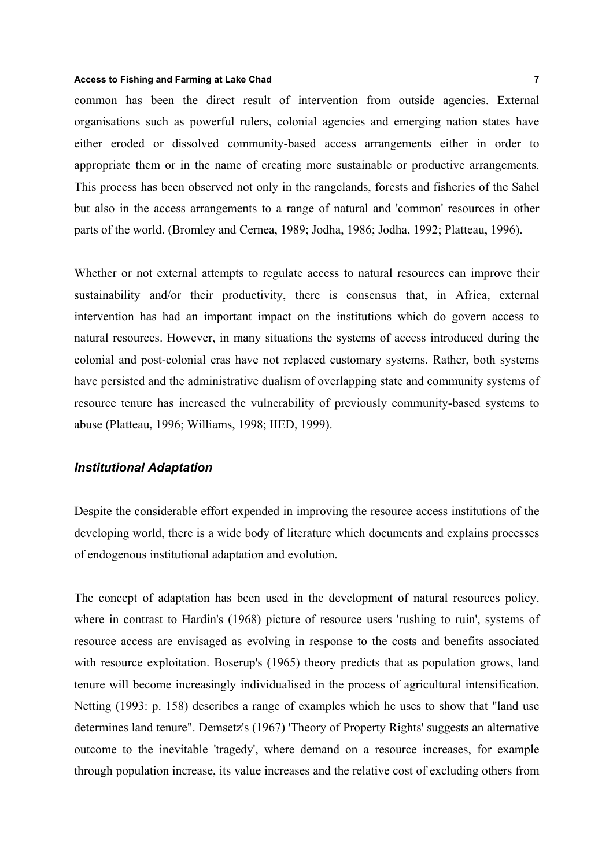common has been the direct result of intervention from outside agencies. External organisations such as powerful rulers, colonial agencies and emerging nation states have either eroded or dissolved community-based access arrangements either in order to appropriate them or in the name of creating more sustainable or productive arrangements. This process has been observed not only in the rangelands, forests and fisheries of the Sahel but also in the access arrangements to a range of natural and 'common' resources in other parts of the world. (Bromley and Cernea, 1989; Jodha, 1986; Jodha, 1992; Platteau, 1996).

Whether or not external attempts to regulate access to natural resources can improve their sustainability and/or their productivity, there is consensus that, in Africa, external intervention has had an important impact on the institutions which do govern access to natural resources. However, in many situations the systems of access introduced during the colonial and post-colonial eras have not replaced customary systems. Rather, both systems have persisted and the administrative dualism of overlapping state and community systems of resource tenure has increased the vulnerability of previously community-based systems to abuse (Platteau, 1996; Williams, 1998; IIED, 1999).

### *Institutional Adaptation*

Despite the considerable effort expended in improving the resource access institutions of the developing world, there is a wide body of literature which documents and explains processes of endogenous institutional adaptation and evolution.

The concept of adaptation has been used in the development of natural resources policy, where in contrast to Hardin's (1968) picture of resource users 'rushing to ruin', systems of resource access are envisaged as evolving in response to the costs and benefits associated with resource exploitation. Boserup's (1965) theory predicts that as population grows, land tenure will become increasingly individualised in the process of agricultural intensification. Netting (1993: p. 158) describes a range of examples which he uses to show that "land use determines land tenure". Demsetz's (1967) 'Theory of Property Rights' suggests an alternative outcome to the inevitable 'tragedy', where demand on a resource increases, for example through population increase, its value increases and the relative cost of excluding others from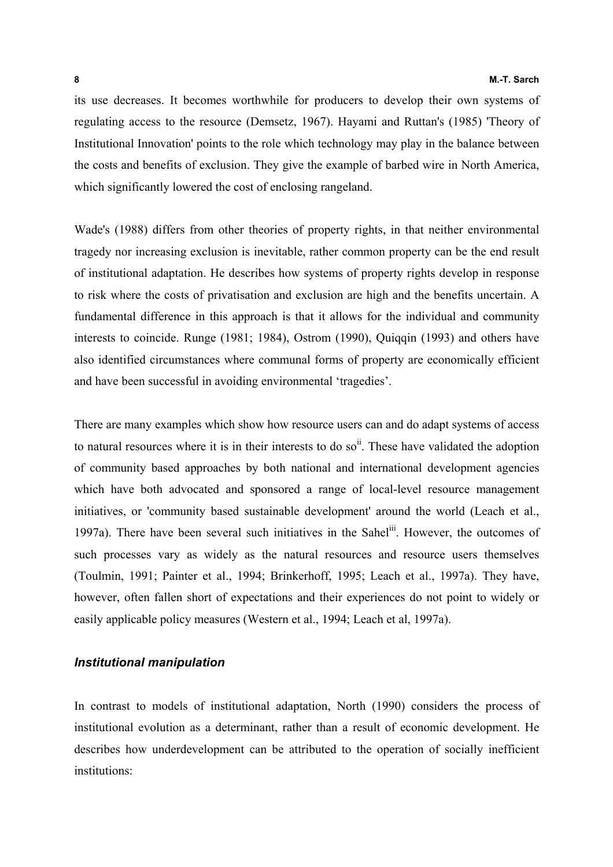its use decreases. It becomes worthwhile for producers to develop their own systems of regulating access to the resource (Demsetz, 1967). Hayami and Ruttan's (1985) 'Theory of Institutional Innovation' points to the role which technology may play in the balance between the costs and benefits of exclusion. They give the example of barbed wire in North America, which significantly lowered the cost of enclosing rangeland.

Wade's (1988) differs from other theories of property rights, in that neither environmental tragedy nor increasing exclusion is inevitable, rather common property can be the end result of institutional adaptation. He describes how systems of property rights develop in response to risk where the costs of privatisation and exclusion are high and the benefits uncertain. A fundamental difference in this approach is that it allows for the individual and community interests to coincide. Runge (1981; 1984), Ostrom (1990), Quiqqin (1993) and others have also identified circumstances where communal forms of property are economically efficient and have been successful in avoiding environmental 'tragedies'.

There are many examples which show how resource users can and do adapt systems of access to natural resources where it is in their interests to do so<sup>ii</sup>. These have validated the adoption of community based approaches by both national and international development agencies which have both advocated and sponsored a range of local-level resource management initiatives, or 'community based sustainable development' around the world (Leach et al., 1997a). There have been several such initiatives in the Sahel<sup>iii</sup>. However, the outcomes of such processes vary as widely as the natural resources and resource users themselves (Toulmin, 1991; Painter et al., 1994; Brinkerhoff, 1995; Leach et al., 1997a). They have, however, often fallen short of expectations and their experiences do not point to widely or easily applicable policy measures (Western et al., 1994; Leach et al, 1997a).

### *Institutional manipulation*

In contrast to models of institutional adaptation, North (1990) considers the process of institutional evolution as a determinant, rather than a result of economic development. He describes how underdevelopment can be attributed to the operation of socially inefficient institutions: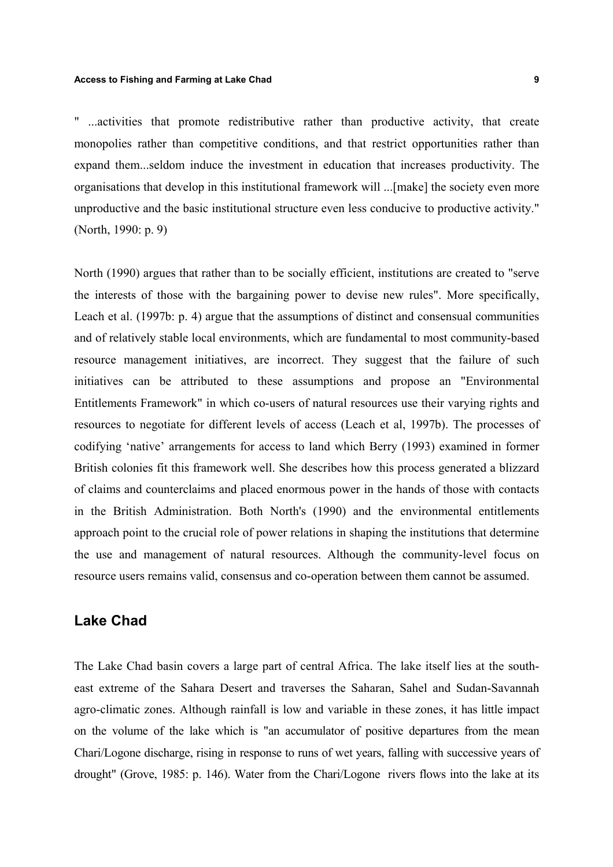" ...activities that promote redistributive rather than productive activity, that create monopolies rather than competitive conditions, and that restrict opportunities rather than expand them...seldom induce the investment in education that increases productivity. The organisations that develop in this institutional framework will ...[make] the society even more unproductive and the basic institutional structure even less conducive to productive activity." (North, 1990: p. 9)

North (1990) argues that rather than to be socially efficient, institutions are created to "serve the interests of those with the bargaining power to devise new rules". More specifically, Leach et al. (1997b: p. 4) argue that the assumptions of distinct and consensual communities and of relatively stable local environments, which are fundamental to most community-based resource management initiatives, are incorrect. They suggest that the failure of such initiatives can be attributed to these assumptions and propose an "Environmental Entitlements Framework" in which co-users of natural resources use their varying rights and resources to negotiate for different levels of access (Leach et al, 1997b). The processes of codifying 'native' arrangements for access to land which Berry (1993) examined in former British colonies fit this framework well. She describes how this process generated a blizzard of claims and counterclaims and placed enormous power in the hands of those with contacts in the British Administration. Both North's (1990) and the environmental entitlements approach point to the crucial role of power relations in shaping the institutions that determine the use and management of natural resources. Although the community-level focus on resource users remains valid, consensus and co-operation between them cannot be assumed.

### **Lake Chad**

The Lake Chad basin covers a large part of central Africa. The lake itself lies at the southeast extreme of the Sahara Desert and traverses the Saharan, Sahel and Sudan-Savannah agro-climatic zones. Although rainfall is low and variable in these zones, it has little impact on the volume of the lake which is "an accumulator of positive departures from the mean Chari/Logone discharge, rising in response to runs of wet years, falling with successive years of drought" (Grove, 1985: p. 146). Water from the Chari/Logone rivers flows into the lake at its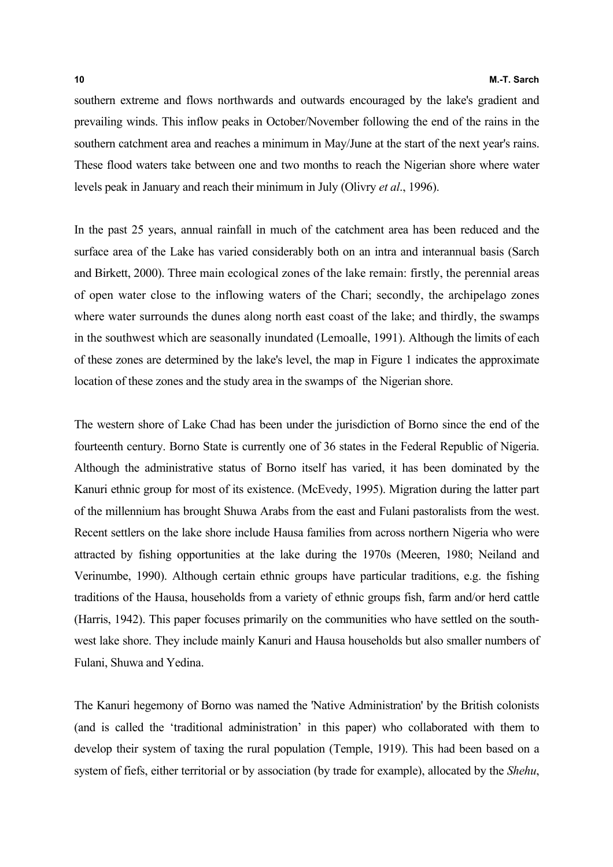southern extreme and flows northwards and outwards encouraged by the lake's gradient and prevailing winds. This inflow peaks in October/November following the end of the rains in the southern catchment area and reaches a minimum in May/June at the start of the next year's rains. These flood waters take between one and two months to reach the Nigerian shore where water levels peak in January and reach their minimum in July (Olivry *et al*., 1996).

In the past 25 years, annual rainfall in much of the catchment area has been reduced and the surface area of the Lake has varied considerably both on an intra and interannual basis (Sarch and Birkett, 2000). Three main ecological zones of the lake remain: firstly, the perennial areas of open water close to the inflowing waters of the Chari; secondly, the archipelago zones where water surrounds the dunes along north east coast of the lake; and thirdly, the swamps in the southwest which are seasonally inundated (Lemoalle, 1991). Although the limits of each of these zones are determined by the lake's level, the map in Figure 1 indicates the approximate location of these zones and the study area in the swamps of the Nigerian shore.

The western shore of Lake Chad has been under the jurisdiction of Borno since the end of the fourteenth century. Borno State is currently one of 36 states in the Federal Republic of Nigeria. Although the administrative status of Borno itself has varied, it has been dominated by the Kanuri ethnic group for most of its existence. (McEvedy, 1995). Migration during the latter part of the millennium has brought Shuwa Arabs from the east and Fulani pastoralists from the west. Recent settlers on the lake shore include Hausa families from across northern Nigeria who were attracted by fishing opportunities at the lake during the 1970s (Meeren, 1980; Neiland and Verinumbe, 1990). Although certain ethnic groups have particular traditions, e.g. the fishing traditions of the Hausa, households from a variety of ethnic groups fish, farm and/or herd cattle (Harris, 1942). This paper focuses primarily on the communities who have settled on the southwest lake shore. They include mainly Kanuri and Hausa households but also smaller numbers of Fulani, Shuwa and Yedina.

The Kanuri hegemony of Borno was named the 'Native Administration' by the British colonists (and is called the 'traditional administration' in this paper) who collaborated with them to develop their system of taxing the rural population (Temple, 1919). This had been based on a system of fiefs, either territorial or by association (by trade for example), allocated by the *Shehu*,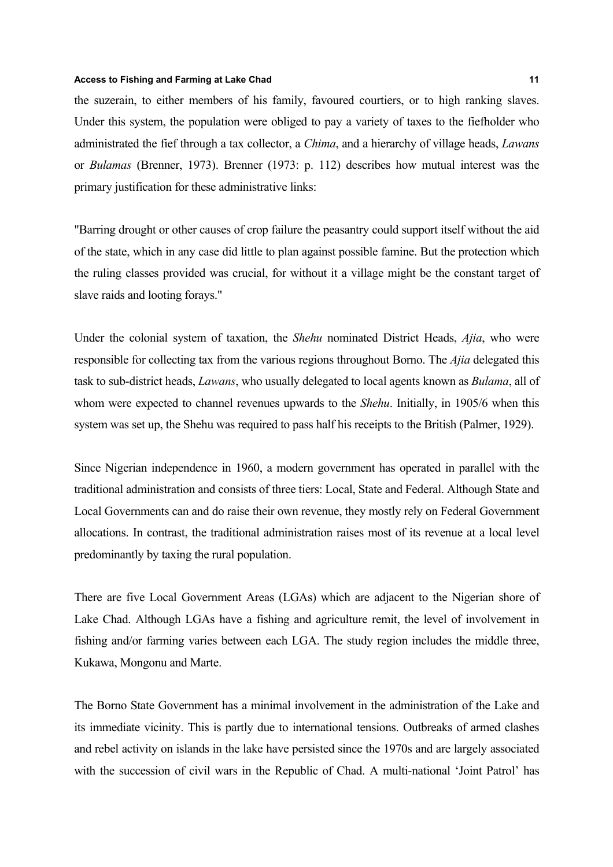the suzerain, to either members of his family, favoured courtiers, or to high ranking slaves. Under this system, the population were obliged to pay a variety of taxes to the fiefholder who administrated the fief through a tax collector, a *Chima*, and a hierarchy of village heads, *Lawans* or *Bulamas* (Brenner, 1973). Brenner (1973: p. 112) describes how mutual interest was the primary justification for these administrative links:

"Barring drought or other causes of crop failure the peasantry could support itself without the aid of the state, which in any case did little to plan against possible famine. But the protection which the ruling classes provided was crucial, for without it a village might be the constant target of slave raids and looting forays."

Under the colonial system of taxation, the *Shehu* nominated District Heads, *Ajia*, who were responsible for collecting tax from the various regions throughout Borno. The *Ajia* delegated this task to sub-district heads, *Lawans*, who usually delegated to local agents known as *Bulama*, all of whom were expected to channel revenues upwards to the *Shehu*. Initially, in 1905/6 when this system was set up, the Shehu was required to pass half his receipts to the British (Palmer, 1929).

Since Nigerian independence in 1960, a modern government has operated in parallel with the traditional administration and consists of three tiers: Local, State and Federal. Although State and Local Governments can and do raise their own revenue, they mostly rely on Federal Government allocations. In contrast, the traditional administration raises most of its revenue at a local level predominantly by taxing the rural population.

There are five Local Government Areas (LGAs) which are adjacent to the Nigerian shore of Lake Chad. Although LGAs have a fishing and agriculture remit, the level of involvement in fishing and/or farming varies between each LGA. The study region includes the middle three, Kukawa, Mongonu and Marte.

The Borno State Government has a minimal involvement in the administration of the Lake and its immediate vicinity. This is partly due to international tensions. Outbreaks of armed clashes and rebel activity on islands in the lake have persisted since the 1970s and are largely associated with the succession of civil wars in the Republic of Chad. A multi-national 'Joint Patrol' has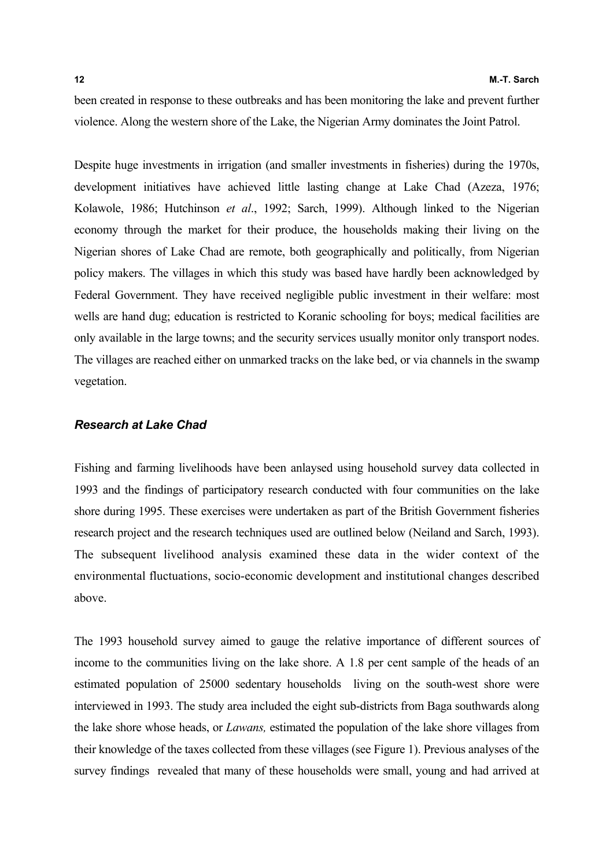been created in response to these outbreaks and has been monitoring the lake and prevent further violence. Along the western shore of the Lake, the Nigerian Army dominates the Joint Patrol.

Despite huge investments in irrigation (and smaller investments in fisheries) during the 1970s, development initiatives have achieved little lasting change at Lake Chad (Azeza, 1976; Kolawole, 1986; Hutchinson *et al*., 1992; Sarch, 1999). Although linked to the Nigerian economy through the market for their produce, the households making their living on the Nigerian shores of Lake Chad are remote, both geographically and politically, from Nigerian policy makers. The villages in which this study was based have hardly been acknowledged by Federal Government. They have received negligible public investment in their welfare: most wells are hand dug; education is restricted to Koranic schooling for boys; medical facilities are only available in the large towns; and the security services usually monitor only transport nodes. The villages are reached either on unmarked tracks on the lake bed, or via channels in the swamp vegetation.

### *Research at Lake Chad*

Fishing and farming livelihoods have been anlaysed using household survey data collected in 1993 and the findings of participatory research conducted with four communities on the lake shore during 1995. These exercises were undertaken as part of the British Government fisheries research project and the research techniques used are outlined below (Neiland and Sarch, 1993). The subsequent livelihood analysis examined these data in the wider context of the environmental fluctuations, socio-economic development and institutional changes described above.

The 1993 household survey aimed to gauge the relative importance of different sources of income to the communities living on the lake shore. A 1.8 per cent sample of the heads of an estimated population of 25000 sedentary households living on the south-west shore were interviewed in 1993. The study area included the eight sub-districts from Baga southwards along the lake shore whose heads, or *Lawans,* estimated the population of the lake shore villages from their knowledge of the taxes collected from these villages (see Figure 1). Previous analyses of the survey findings revealed that many of these households were small, young and had arrived at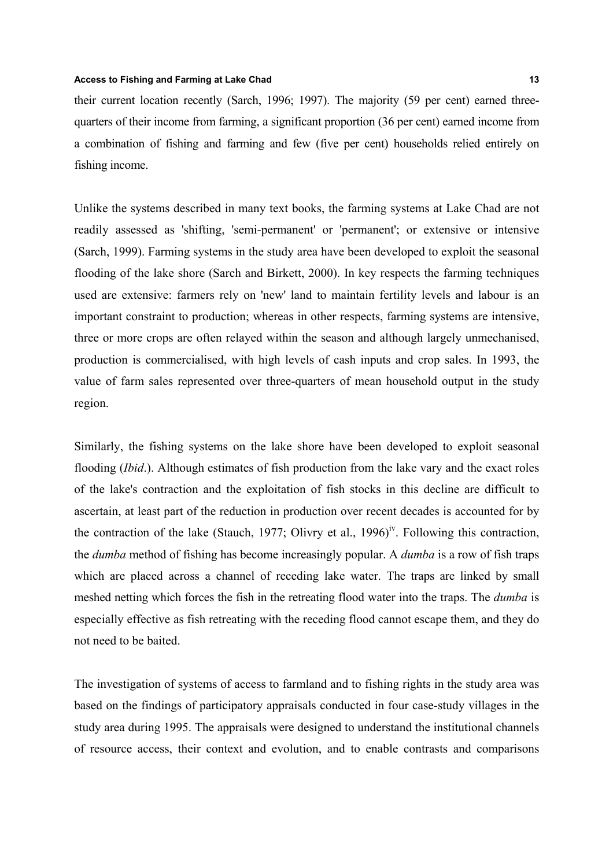their current location recently (Sarch, 1996; 1997). The majority (59 per cent) earned threequarters of their income from farming, a significant proportion (36 per cent) earned income from a combination of fishing and farming and few (five per cent) households relied entirely on fishing income.

Unlike the systems described in many text books, the farming systems at Lake Chad are not readily assessed as 'shifting, 'semi-permanent' or 'permanent'; or extensive or intensive (Sarch, 1999). Farming systems in the study area have been developed to exploit the seasonal flooding of the lake shore (Sarch and Birkett, 2000). In key respects the farming techniques used are extensive: farmers rely on 'new' land to maintain fertility levels and labour is an important constraint to production; whereas in other respects, farming systems are intensive, three or more crops are often relayed within the season and although largely unmechanised, production is commercialised, with high levels of cash inputs and crop sales. In 1993, the value of farm sales represented over three-quarters of mean household output in the study region.

Similarly, the fishing systems on the lake shore have been developed to exploit seasonal flooding (*Ibid*.). Although estimates of fish production from the lake vary and the exact roles of the lake's contraction and the exploitation of fish stocks in this decline are difficult to ascertain, at least part of the reduction in production over recent decades is accounted for by the contraction of the lake (Stauch, 1977; Olivry et al., 1996)<sup>iv</sup>. Following this contraction, the *dumba* method of fishing has become increasingly popular. A *dumba* is a row of fish traps which are placed across a channel of receding lake water. The traps are linked by small meshed netting which forces the fish in the retreating flood water into the traps. The *dumba* is especially effective as fish retreating with the receding flood cannot escape them, and they do not need to be baited.

The investigation of systems of access to farmland and to fishing rights in the study area was based on the findings of participatory appraisals conducted in four case-study villages in the study area during 1995. The appraisals were designed to understand the institutional channels of resource access, their context and evolution, and to enable contrasts and comparisons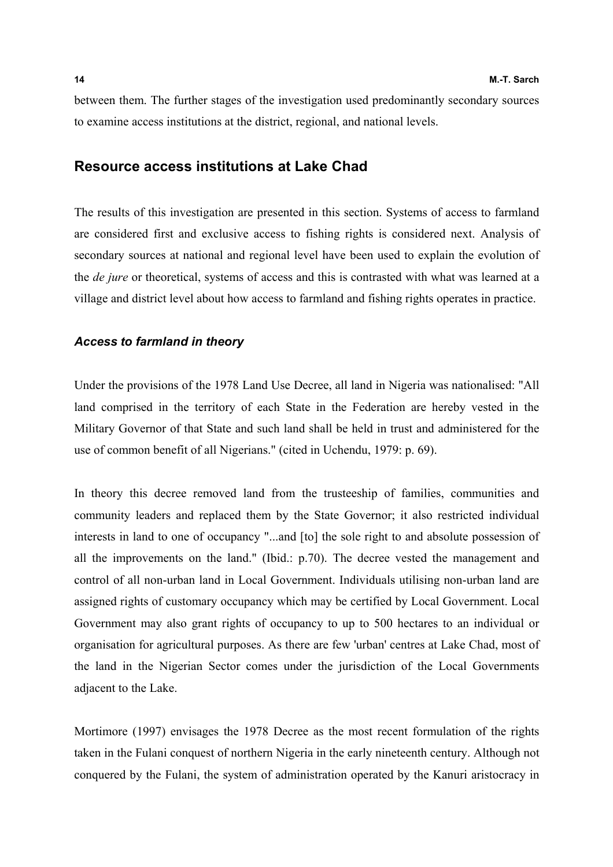between them. The further stages of the investigation used predominantly secondary sources to examine access institutions at the district, regional, and national levels.

# **Resource access institutions at Lake Chad**

The results of this investigation are presented in this section. Systems of access to farmland are considered first and exclusive access to fishing rights is considered next. Analysis of secondary sources at national and regional level have been used to explain the evolution of the *de jure* or theoretical, systems of access and this is contrasted with what was learned at a village and district level about how access to farmland and fishing rights operates in practice.

#### *Access to farmland in theory*

Under the provisions of the 1978 Land Use Decree, all land in Nigeria was nationalised: "All land comprised in the territory of each State in the Federation are hereby vested in the Military Governor of that State and such land shall be held in trust and administered for the use of common benefit of all Nigerians." (cited in Uchendu, 1979: p. 69).

In theory this decree removed land from the trusteeship of families, communities and community leaders and replaced them by the State Governor; it also restricted individual interests in land to one of occupancy "...and [to] the sole right to and absolute possession of all the improvements on the land." (Ibid.: p.70). The decree vested the management and control of all non-urban land in Local Government. Individuals utilising non-urban land are assigned rights of customary occupancy which may be certified by Local Government. Local Government may also grant rights of occupancy to up to 500 hectares to an individual or organisation for agricultural purposes. As there are few 'urban' centres at Lake Chad, most of the land in the Nigerian Sector comes under the jurisdiction of the Local Governments adjacent to the Lake.

Mortimore (1997) envisages the 1978 Decree as the most recent formulation of the rights taken in the Fulani conquest of northern Nigeria in the early nineteenth century. Although not conquered by the Fulani, the system of administration operated by the Kanuri aristocracy in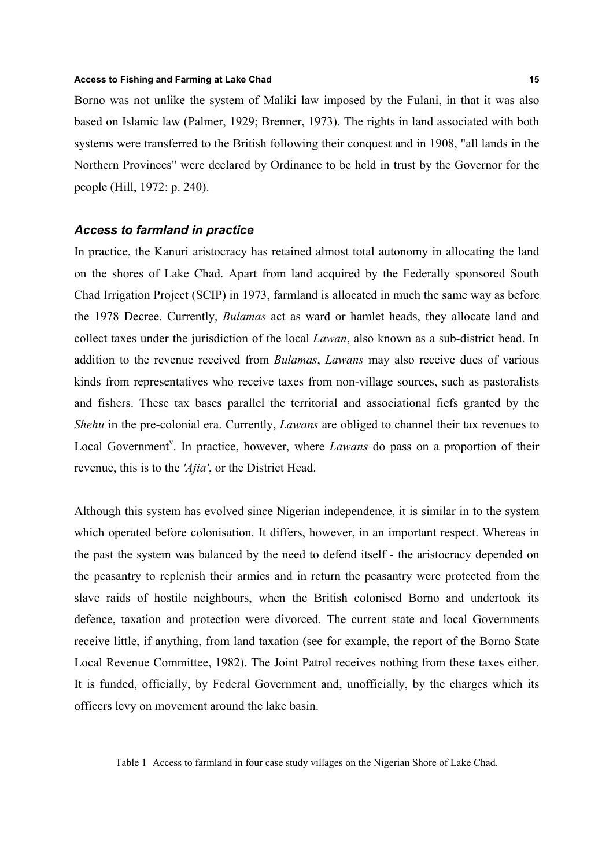Borno was not unlike the system of Maliki law imposed by the Fulani, in that it was also based on Islamic law (Palmer, 1929; Brenner, 1973). The rights in land associated with both systems were transferred to the British following their conquest and in 1908, "all lands in the Northern Provinces" were declared by Ordinance to be held in trust by the Governor for the people (Hill, 1972: p. 240).

#### *Access to farmland in practice*

In practice, the Kanuri aristocracy has retained almost total autonomy in allocating the land on the shores of Lake Chad. Apart from land acquired by the Federally sponsored South Chad Irrigation Project (SCIP) in 1973, farmland is allocated in much the same way as before the 1978 Decree. Currently, *Bulamas* act as ward or hamlet heads, they allocate land and collect taxes under the jurisdiction of the local *Lawan*, also known as a sub-district head. In addition to the revenue received from *Bulamas*, *Lawans* may also receive dues of various kinds from representatives who receive taxes from non-village sources, such as pastoralists and fishers. These tax bases parallel the territorial and associational fiefs granted by the *Shehu* in the pre-colonial era. Currently, *Lawans* are obliged to channel their tax revenues to Local Go[v](#page-33-4)ernment<sup>v</sup>. In practice, however, where *Lawans* do pass on a proportion of their revenue, this is to the *'Ajia'*, or the District Head.

Although this system has evolved since Nigerian independence, it is similar in to the system which operated before colonisation. It differs, however, in an important respect. Whereas in the past the system was balanced by the need to defend itself - the aristocracy depended on the peasantry to replenish their armies and in return the peasantry were protected from the slave raids of hostile neighbours, when the British colonised Borno and undertook its defence, taxation and protection were divorced. The current state and local Governments receive little, if anything, from land taxation (see for example, the report of the Borno State Local Revenue Committee, 1982). The Joint Patrol receives nothing from these taxes either. It is funded, officially, by Federal Government and, unofficially, by the charges which its officers levy on movement around the lake basin.

Table 1 Access to farmland in four case study villages on the Nigerian Shore of Lake Chad.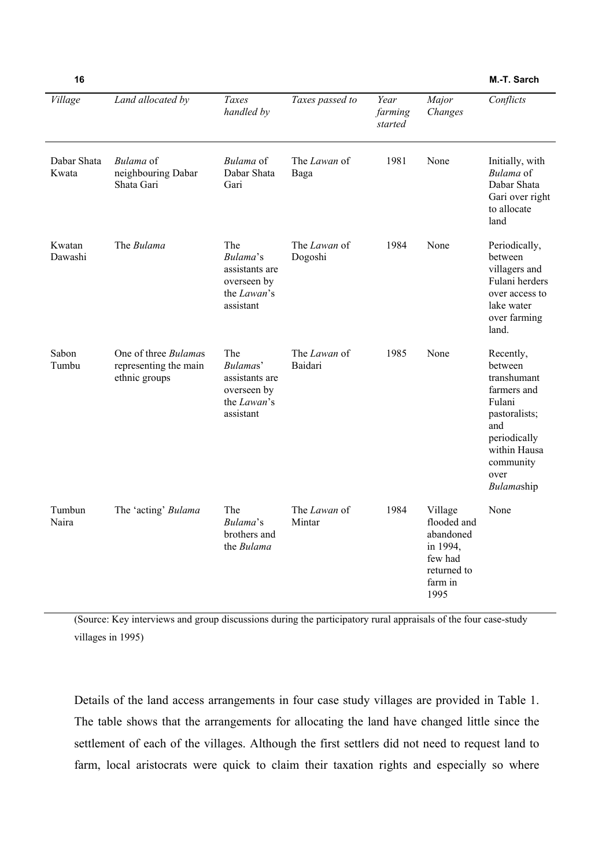| 16                   |                                                                |                                                                              |                                |                            |                                                                                              | M.-T. Sarch                                                                                                                                             |
|----------------------|----------------------------------------------------------------|------------------------------------------------------------------------------|--------------------------------|----------------------------|----------------------------------------------------------------------------------------------|---------------------------------------------------------------------------------------------------------------------------------------------------------|
| Village              | Land allocated by                                              | Taxes<br>handled by                                                          | Taxes passed to                | Year<br>farming<br>started | Major<br>Changes                                                                             | Conflicts                                                                                                                                               |
| Dabar Shata<br>Kwata | Bulama of<br>neighbouring Dabar<br>Shata Gari                  | Bulama of<br>Dabar Shata<br>Gari                                             | The Lawan of<br>Baga           | 1981                       | None                                                                                         | Initially, with<br>Bulama of<br>Dabar Shata<br>Gari over right<br>to allocate<br>land                                                                   |
| Kwatan<br>Dawashi    | The <i>Bulama</i>                                              | The<br>Bulama's<br>assistants are<br>overseen by<br>the Lawan's<br>assistant | The <i>Lawan</i> of<br>Dogoshi | 1984                       | None                                                                                         | Periodically,<br>between<br>villagers and<br>Fulani herders<br>over access to<br>lake water<br>over farming<br>land.                                    |
| Sabon<br>Tumbu       | One of three Bulamas<br>representing the main<br>ethnic groups | The<br>Bulamas'<br>assistants are<br>overseen by<br>the Lawan's<br>assistant | The <i>Lawan</i> of<br>Baidari | 1985                       | None                                                                                         | Recently,<br>between<br>transhumant<br>farmers and<br>Fulani<br>pastoralists;<br>and<br>periodically<br>within Hausa<br>community<br>over<br>Bulamaship |
| Tumbun<br>Naira      | The 'acting' Bulama                                            | The<br>Bulama's<br>brothers and<br>the <i>Bulama</i>                         | The Lawan of<br>Mintar         | 1984                       | Village<br>flooded and<br>abandoned<br>in 1994,<br>few had<br>returned to<br>farm in<br>1995 | None                                                                                                                                                    |

(Source: Key interviews and group discussions during the participatory rural appraisals of the four case-study villages in 1995)

Details of the land access arrangements in four case study villages are provided in Table 1. The table shows that the arrangements for allocating the land have changed little since the settlement of each of the villages. Although the first settlers did not need to request land to farm, local aristocrats were quick to claim their taxation rights and especially so where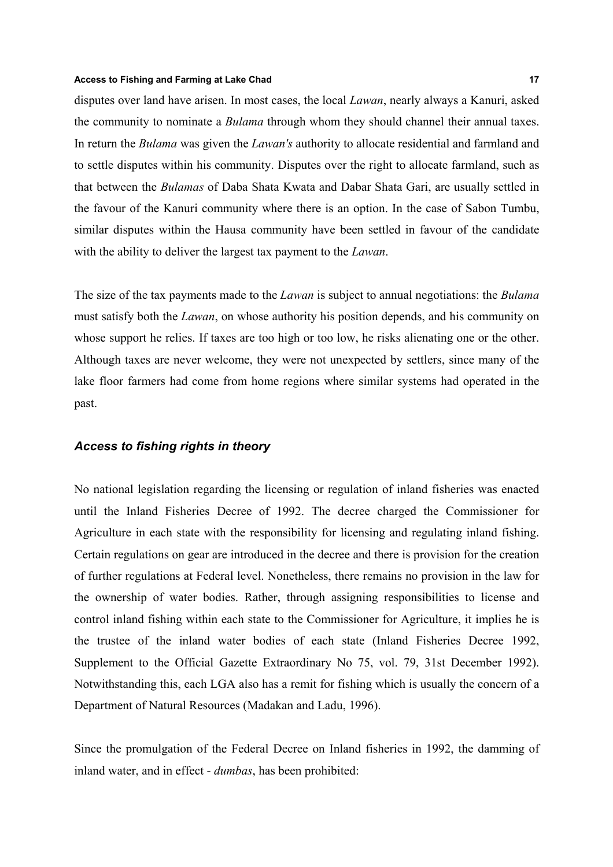disputes over land have arisen. In most cases, the local *Lawan*, nearly always a Kanuri, asked the community to nominate a *Bulama* through whom they should channel their annual taxes. In return the *Bulama* was given the *Lawan's* authority to allocate residential and farmland and to settle disputes within his community. Disputes over the right to allocate farmland, such as that between the *Bulamas* of Daba Shata Kwata and Dabar Shata Gari, are usually settled in the favour of the Kanuri community where there is an option. In the case of Sabon Tumbu, similar disputes within the Hausa community have been settled in favour of the candidate with the ability to deliver the largest tax payment to the *Lawan*.

The size of the tax payments made to the *Lawan* is subject to annual negotiations: the *Bulama* must satisfy both the *Lawan*, on whose authority his position depends, and his community on whose support he relies. If taxes are too high or too low, he risks alienating one or the other. Although taxes are never welcome, they were not unexpected by settlers, since many of the lake floor farmers had come from home regions where similar systems had operated in the past.

### *Access to fishing rights in theory*

No national legislation regarding the licensing or regulation of inland fisheries was enacted until the Inland Fisheries Decree of 1992. The decree charged the Commissioner for Agriculture in each state with the responsibility for licensing and regulating inland fishing. Certain regulations on gear are introduced in the decree and there is provision for the creation of further regulations at Federal level. Nonetheless, there remains no provision in the law for the ownership of water bodies. Rather, through assigning responsibilities to license and control inland fishing within each state to the Commissioner for Agriculture, it implies he is the trustee of the inland water bodies of each state (Inland Fisheries Decree 1992, Supplement to the Official Gazette Extraordinary No 75, vol. 79, 31st December 1992). Notwithstanding this, each LGA also has a remit for fishing which is usually the concern of a Department of Natural Resources (Madakan and Ladu, 1996).

Since the promulgation of the Federal Decree on Inland fisheries in 1992, the damming of inland water, and in effect - *dumbas*, has been prohibited: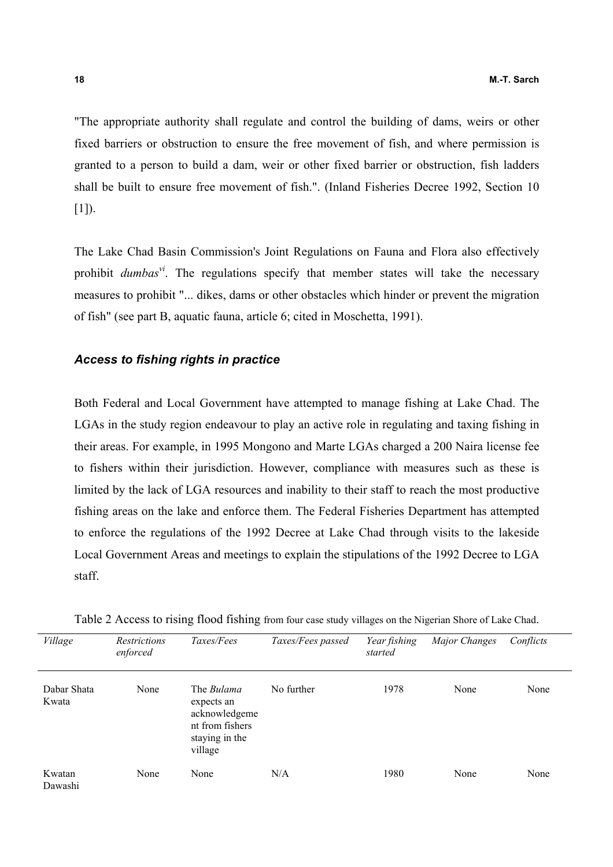"The appropriate authority shall regulate and control the building of dams, weirs or other fixed barriers or obstruction to ensure the free movement of fish, and where permission is granted to a person to build a dam, weir or other fixed barrier or obstruction, fish ladders shall be built to ensure free movement of fish.". (Inland Fisheries Decree 1992, Section 10  $[1]$ ).

The Lake Chad Basin Commission's Joint Regulations on Fauna and Flora also effectively prohibit *dumbas[vi](#page-33-5)*. The regulations specify that member states will take the necessary measures to prohibit "... dikes, dams or other obstacles which hinder or prevent the migration of fish" (see part B, aquatic fauna, article 6; cited in Moschetta, 1991).

### *Access to fishing rights in practice*

Both Federal and Local Government have attempted to manage fishing at Lake Chad. The LGAs in the study region endeavour to play an active role in regulating and taxing fishing in their areas. For example, in 1995 Mongono and Marte LGAs charged a 200 Naira license fee to fishers within their jurisdiction. However, compliance with measures such as these is limited by the lack of LGA resources and inability to their staff to reach the most productive fishing areas on the lake and enforce them. The Federal Fisheries Department has attempted to enforce the regulations of the 1992 Decree at Lake Chad through visits to the lakeside Local Government Areas and meetings to explain the stipulations of the 1992 Decree to LGA staff.

| Village              | <i>Restrictions</i><br>enforced | Taxes/Fees                                                                                       | Taxes/Fees passed | Year fishing<br>started | <b>Major Changes</b> | Conflicts |
|----------------------|---------------------------------|--------------------------------------------------------------------------------------------------|-------------------|-------------------------|----------------------|-----------|
| Dabar Shata<br>Kwata | None                            | The <i>Bulama</i><br>expects an<br>acknowledgeme<br>nt from fishers<br>staying in the<br>village | No further        | 1978                    | None                 | None      |
| Kwatan<br>Dawashi    | None                            | None                                                                                             | N/A               | 1980                    | None                 | None      |

Table 2 Access to rising flood fishing from four case study villages on the Nigerian Shore of Lake Chad.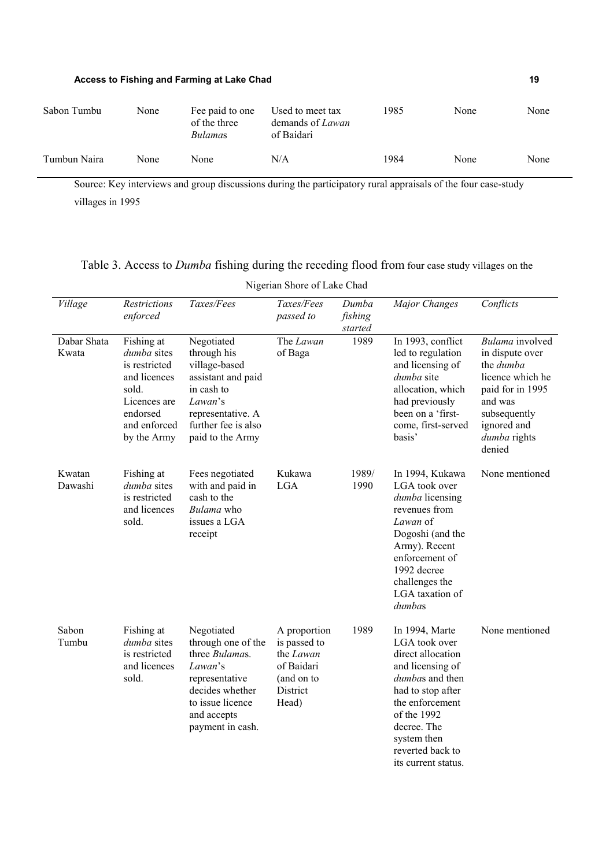| Sabon Tumbu  | None | Fee paid to one<br>of the three<br><i>Bulamas</i> | Used to meet tax<br>demands of <i>Lawan</i><br>of Baidari | 1985 | None | None |
|--------------|------|---------------------------------------------------|-----------------------------------------------------------|------|------|------|
| Tumbun Naira | None | None                                              | N/A                                                       | 1984 | None | None |

Source: Key interviews and group discussions during the participatory rural appraisals of the four case-study villages in 1995

# Table 3. Access to *Dumba* fishing during the receding flood from four case study villages on the

Nigerian Shore of Lake Chad

| Village              | <b>Restrictions</b><br>enforced                                                                                                       | Taxes/Fees                                                                                                                                                        | Taxes/Fees<br>passed to                                                                    | Dumba<br>fishing<br>started | <b>Major Changes</b>                                                                                                                                                                                                        | Conflicts                                                                                                                                                                 |
|----------------------|---------------------------------------------------------------------------------------------------------------------------------------|-------------------------------------------------------------------------------------------------------------------------------------------------------------------|--------------------------------------------------------------------------------------------|-----------------------------|-----------------------------------------------------------------------------------------------------------------------------------------------------------------------------------------------------------------------------|---------------------------------------------------------------------------------------------------------------------------------------------------------------------------|
| Dabar Shata<br>Kwata | Fishing at<br><i>dumba</i> sites<br>is restricted<br>and licences<br>sold.<br>Licences are<br>endorsed<br>and enforced<br>by the Army | Negotiated<br>through his<br>village-based<br>assistant and paid<br>in cash to<br>Lawan's<br>representative. A<br>further fee is also<br>paid to the Army         | The Lawan<br>of Baga                                                                       | 1989                        | In 1993, conflict<br>led to regulation<br>and licensing of<br>dumba site<br>allocation, which<br>had previously<br>been on a 'first-<br>come, first-served<br>basis'                                                        | <b>Bulama</b> involved<br>in dispute over<br>the <i>dumba</i><br>licence which he<br>paid for in 1995<br>and was<br>subsequently<br>ignored and<br>dumba rights<br>denied |
| Kwatan<br>Dawashi    | Fishing at<br>dumba sites<br>is restricted<br>and licences<br>sold.                                                                   | Fees negotiated<br>with and paid in<br>cash to the<br>Bulama who<br>issues a LGA<br>receipt                                                                       | Kukawa<br><b>LGA</b>                                                                       | 1989/<br>1990               | In 1994, Kukawa<br>LGA took over<br><i>dumba</i> licensing<br>revenues from<br>Lawan of<br>Dogoshi (and the<br>Army). Recent<br>enforcement of<br>1992 decree<br>challenges the<br>LGA taxation of<br>dumbas                | None mentioned                                                                                                                                                            |
| Sabon<br>Tumbu       | Fishing at<br>dumba sites<br>is restricted<br>and licences<br>sold.                                                                   | Negotiated<br>through one of the<br>three <i>Bulamas</i> .<br>Lawan's<br>representative<br>decides whether<br>to issue licence<br>and accepts<br>payment in cash. | A proportion<br>is passed to<br>the Lawan<br>of Baidari<br>(and on to<br>District<br>Head) | 1989                        | In 1994, Marte<br>LGA took over<br>direct allocation<br>and licensing of<br>dumbas and then<br>had to stop after<br>the enforcement<br>of the 1992<br>decree. The<br>system then<br>reverted back to<br>its current status. | None mentioned                                                                                                                                                            |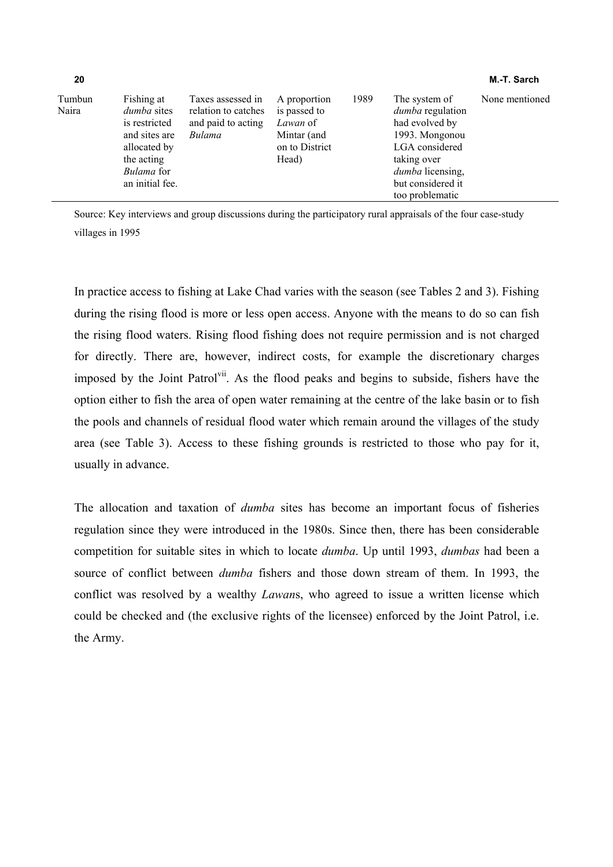| 20              |                                                                                                                                          |                                                                          |                                                                                    |      |                                                                                                                                                                                  | M.-T. Sarch    |
|-----------------|------------------------------------------------------------------------------------------------------------------------------------------|--------------------------------------------------------------------------|------------------------------------------------------------------------------------|------|----------------------------------------------------------------------------------------------------------------------------------------------------------------------------------|----------------|
| Tumbun<br>Naira | Fishing at<br><i>dumba</i> sites<br>is restricted<br>and sites are<br>allocated by<br>the acting<br><i>Bulama</i> for<br>an initial fee. | Taxes assessed in<br>relation to catches<br>and paid to acting<br>Bulama | A proportion<br>is passed to<br>Lawan of<br>Mintar (and<br>on to District<br>Head) | 1989 | The system of<br><i>dumba</i> regulation<br>had evolved by<br>1993. Mongonou<br>LGA considered<br>taking over<br><i>dumba</i> licensing,<br>but considered it<br>too problematic | None mentioned |

Source: Key interviews and group discussions during the participatory rural appraisals of the four case-study villages in 1995

In practice access to fishing at Lake Chad varies with the season (see Tables 2 and 3). Fishing during the rising flood is more or less open access. Anyone with the means to do so can fish the rising flood waters. Rising flood fishing does not require permission and is not charged for directly. There are, however, indirect costs, for example the discretionary charges imposed by the Joint Patrol<sup>vii</sup>. As the flood peaks and begins to subside, fishers have the option either to fish the area of open water remaining at the centre of the lake basin or to fish the pools and channels of residual flood water which remain around the villages of the study area (see Table 3). Access to these fishing grounds is restricted to those who pay for it, usually in advance.

The allocation and taxation of *dumba* sites has become an important focus of fisheries regulation since they were introduced in the 1980s. Since then, there has been considerable competition for suitable sites in which to locate *dumba*. Up until 1993, *dumbas* had been a source of conflict between *dumba* fishers and those down stream of them. In 1993, the conflict was resolved by a wealthy *Lawan*s, who agreed to issue a written license which could be checked and (the exclusive rights of the licensee) enforced by the Joint Patrol, i.e. the Army.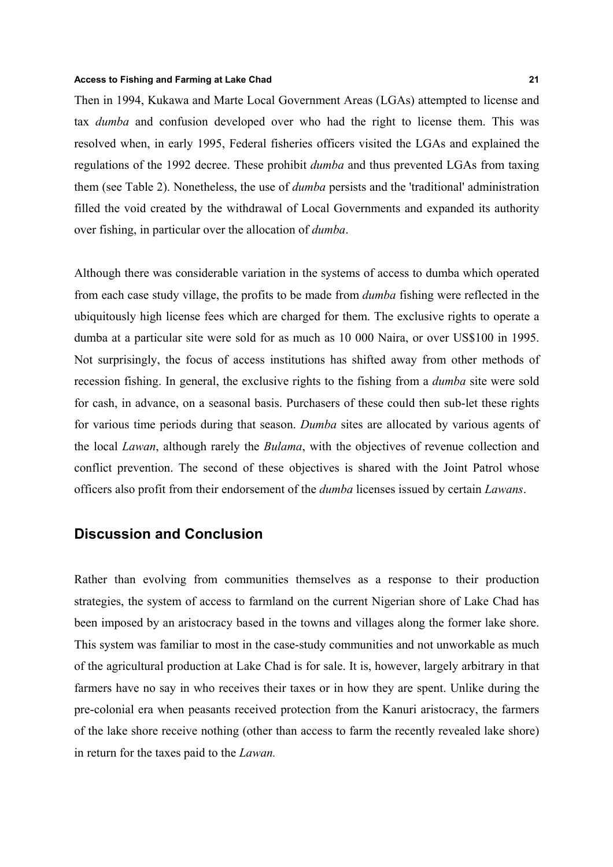Then in 1994, Kukawa and Marte Local Government Areas (LGAs) attempted to license and tax *dumba* and confusion developed over who had the right to license them. This was resolved when, in early 1995, Federal fisheries officers visited the LGAs and explained the regulations of the 1992 decree. These prohibit *dumba* and thus prevented LGAs from taxing them (see Table 2). Nonetheless, the use of *dumba* persists and the 'traditional' administration filled the void created by the withdrawal of Local Governments and expanded its authority over fishing, in particular over the allocation of *dumba*.

Although there was considerable variation in the systems of access to dumba which operated from each case study village, the profits to be made from *dumba* fishing were reflected in the ubiquitously high license fees which are charged for them. The exclusive rights to operate a dumba at a particular site were sold for as much as 10 000 Naira, or over US\$100 in 1995. Not surprisingly, the focus of access institutions has shifted away from other methods of recession fishing. In general, the exclusive rights to the fishing from a *dumba* site were sold for cash, in advance, on a seasonal basis. Purchasers of these could then sub-let these rights for various time periods during that season. *Dumba* sites are allocated by various agents of the local *Lawan*, although rarely the *Bulama*, with the objectives of revenue collection and conflict prevention. The second of these objectives is shared with the Joint Patrol whose officers also profit from their endorsement of the *dumba* licenses issued by certain *Lawans*.

# **Discussion and Conclusion**

Rather than evolving from communities themselves as a response to their production strategies, the system of access to farmland on the current Nigerian shore of Lake Chad has been imposed by an aristocracy based in the towns and villages along the former lake shore. This system was familiar to most in the case-study communities and not unworkable as much of the agricultural production at Lake Chad is for sale. It is, however, largely arbitrary in that farmers have no say in who receives their taxes or in how they are spent. Unlike during the pre-colonial era when peasants received protection from the Kanuri aristocracy, the farmers of the lake shore receive nothing (other than access to farm the recently revealed lake shore) in return for the taxes paid to the *Lawan.*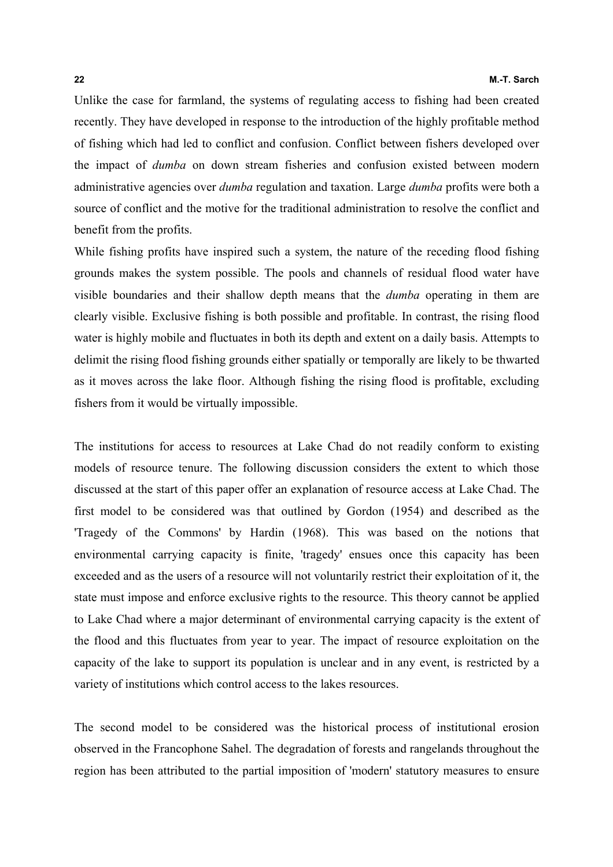Unlike the case for farmland, the systems of regulating access to fishing had been created recently. They have developed in response to the introduction of the highly profitable method of fishing which had led to conflict and confusion. Conflict between fishers developed over the impact of *dumba* on down stream fisheries and confusion existed between modern administrative agencies over *dumba* regulation and taxation. Large *dumba* profits were both a source of conflict and the motive for the traditional administration to resolve the conflict and benefit from the profits.

While fishing profits have inspired such a system, the nature of the receding flood fishing grounds makes the system possible. The pools and channels of residual flood water have visible boundaries and their shallow depth means that the *dumba* operating in them are clearly visible. Exclusive fishing is both possible and profitable. In contrast, the rising flood water is highly mobile and fluctuates in both its depth and extent on a daily basis. Attempts to delimit the rising flood fishing grounds either spatially or temporally are likely to be thwarted as it moves across the lake floor. Although fishing the rising flood is profitable, excluding fishers from it would be virtually impossible.

The institutions for access to resources at Lake Chad do not readily conform to existing models of resource tenure. The following discussion considers the extent to which those discussed at the start of this paper offer an explanation of resource access at Lake Chad. The first model to be considered was that outlined by Gordon (1954) and described as the 'Tragedy of the Commons' by Hardin (1968). This was based on the notions that environmental carrying capacity is finite, 'tragedy' ensues once this capacity has been exceeded and as the users of a resource will not voluntarily restrict their exploitation of it, the state must impose and enforce exclusive rights to the resource. This theory cannot be applied to Lake Chad where a major determinant of environmental carrying capacity is the extent of the flood and this fluctuates from year to year. The impact of resource exploitation on the capacity of the lake to support its population is unclear and in any event, is restricted by a variety of institutions which control access to the lakes resources.

The second model to be considered was the historical process of institutional erosion observed in the Francophone Sahel. The degradation of forests and rangelands throughout the region has been attributed to the partial imposition of 'modern' statutory measures to ensure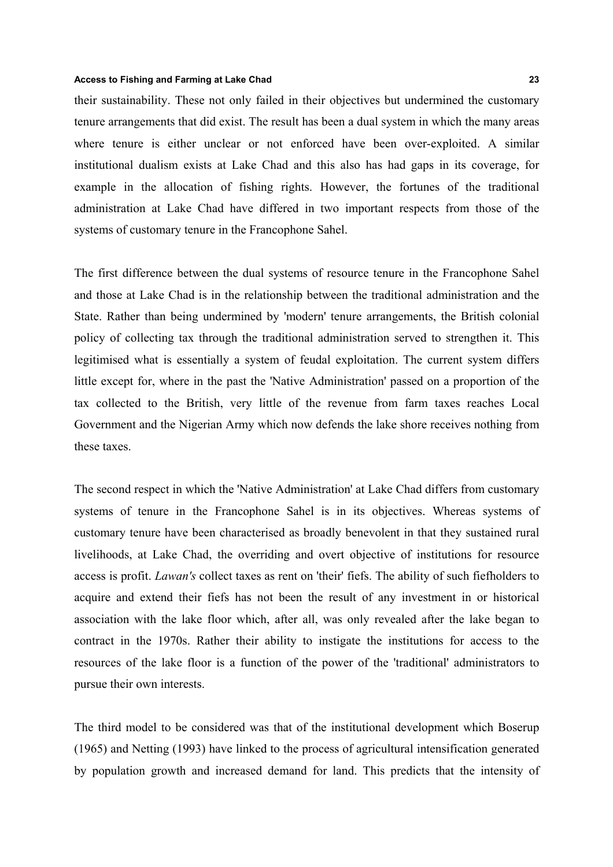their sustainability. These not only failed in their objectives but undermined the customary tenure arrangements that did exist. The result has been a dual system in which the many areas where tenure is either unclear or not enforced have been over-exploited. A similar institutional dualism exists at Lake Chad and this also has had gaps in its coverage, for example in the allocation of fishing rights. However, the fortunes of the traditional administration at Lake Chad have differed in two important respects from those of the systems of customary tenure in the Francophone Sahel.

The first difference between the dual systems of resource tenure in the Francophone Sahel and those at Lake Chad is in the relationship between the traditional administration and the State. Rather than being undermined by 'modern' tenure arrangements, the British colonial policy of collecting tax through the traditional administration served to strengthen it. This legitimised what is essentially a system of feudal exploitation. The current system differs little except for, where in the past the 'Native Administration' passed on a proportion of the tax collected to the British, very little of the revenue from farm taxes reaches Local Government and the Nigerian Army which now defends the lake shore receives nothing from these taxes.

The second respect in which the 'Native Administration' at Lake Chad differs from customary systems of tenure in the Francophone Sahel is in its objectives. Whereas systems of customary tenure have been characterised as broadly benevolent in that they sustained rural livelihoods, at Lake Chad, the overriding and overt objective of institutions for resource access is profit. *Lawan's* collect taxes as rent on 'their' fiefs. The ability of such fiefholders to acquire and extend their fiefs has not been the result of any investment in or historical association with the lake floor which, after all, was only revealed after the lake began to contract in the 1970s. Rather their ability to instigate the institutions for access to the resources of the lake floor is a function of the power of the 'traditional' administrators to pursue their own interests.

The third model to be considered was that of the institutional development which Boserup (1965) and Netting (1993) have linked to the process of agricultural intensification generated by population growth and increased demand for land. This predicts that the intensity of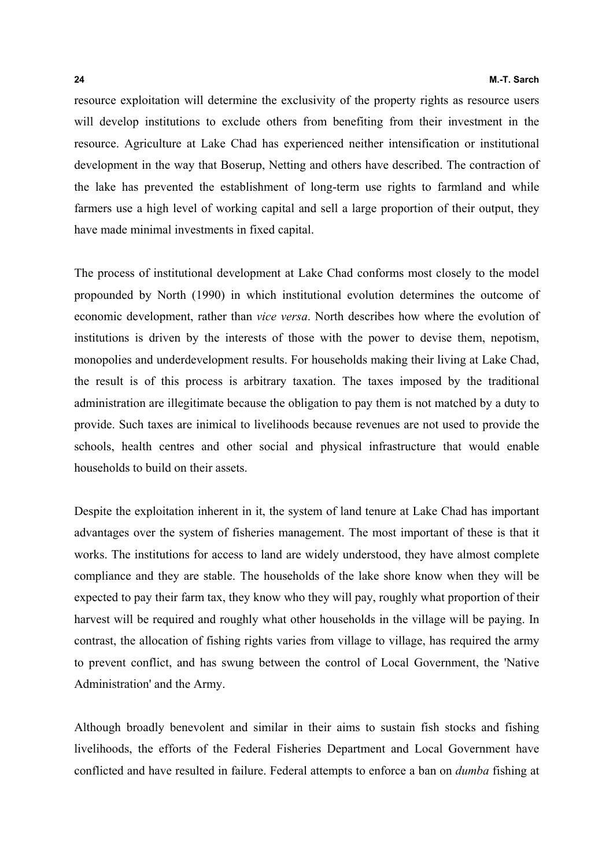resource exploitation will determine the exclusivity of the property rights as resource users will develop institutions to exclude others from benefiting from their investment in the resource. Agriculture at Lake Chad has experienced neither intensification or institutional development in the way that Boserup, Netting and others have described. The contraction of the lake has prevented the establishment of long-term use rights to farmland and while farmers use a high level of working capital and sell a large proportion of their output, they have made minimal investments in fixed capital.

The process of institutional development at Lake Chad conforms most closely to the model propounded by North (1990) in which institutional evolution determines the outcome of economic development, rather than *vice versa*. North describes how where the evolution of institutions is driven by the interests of those with the power to devise them, nepotism, monopolies and underdevelopment results. For households making their living at Lake Chad, the result is of this process is arbitrary taxation. The taxes imposed by the traditional administration are illegitimate because the obligation to pay them is not matched by a duty to provide. Such taxes are inimical to livelihoods because revenues are not used to provide the schools, health centres and other social and physical infrastructure that would enable households to build on their assets.

Despite the exploitation inherent in it, the system of land tenure at Lake Chad has important advantages over the system of fisheries management. The most important of these is that it works. The institutions for access to land are widely understood, they have almost complete compliance and they are stable. The households of the lake shore know when they will be expected to pay their farm tax, they know who they will pay, roughly what proportion of their harvest will be required and roughly what other households in the village will be paying. In contrast, the allocation of fishing rights varies from village to village, has required the army to prevent conflict, and has swung between the control of Local Government, the 'Native Administration' and the Army.

Although broadly benevolent and similar in their aims to sustain fish stocks and fishing livelihoods, the efforts of the Federal Fisheries Department and Local Government have conflicted and have resulted in failure. Federal attempts to enforce a ban on *dumba* fishing at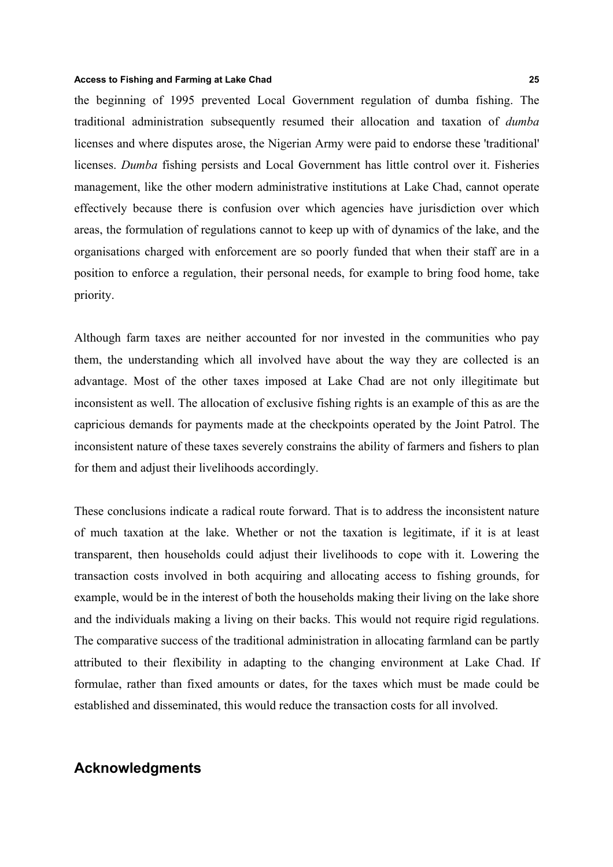the beginning of 1995 prevented Local Government regulation of dumba fishing. The traditional administration subsequently resumed their allocation and taxation of *dumba* licenses and where disputes arose, the Nigerian Army were paid to endorse these 'traditional' licenses. *Dumba* fishing persists and Local Government has little control over it. Fisheries management, like the other modern administrative institutions at Lake Chad, cannot operate effectively because there is confusion over which agencies have jurisdiction over which areas, the formulation of regulations cannot to keep up with of dynamics of the lake, and the organisations charged with enforcement are so poorly funded that when their staff are in a position to enforce a regulation, their personal needs, for example to bring food home, take priority.

Although farm taxes are neither accounted for nor invested in the communities who pay them, the understanding which all involved have about the way they are collected is an advantage. Most of the other taxes imposed at Lake Chad are not only illegitimate but inconsistent as well. The allocation of exclusive fishing rights is an example of this as are the capricious demands for payments made at the checkpoints operated by the Joint Patrol. The inconsistent nature of these taxes severely constrains the ability of farmers and fishers to plan for them and adjust their livelihoods accordingly.

These conclusions indicate a radical route forward. That is to address the inconsistent nature of much taxation at the lake. Whether or not the taxation is legitimate, if it is at least transparent, then households could adjust their livelihoods to cope with it. Lowering the transaction costs involved in both acquiring and allocating access to fishing grounds, for example, would be in the interest of both the households making their living on the lake shore and the individuals making a living on their backs. This would not require rigid regulations. The comparative success of the traditional administration in allocating farmland can be partly attributed to their flexibility in adapting to the changing environment at Lake Chad. If formulae, rather than fixed amounts or dates, for the taxes which must be made could be established and disseminated, this would reduce the transaction costs for all involved.

# **Acknowledgments**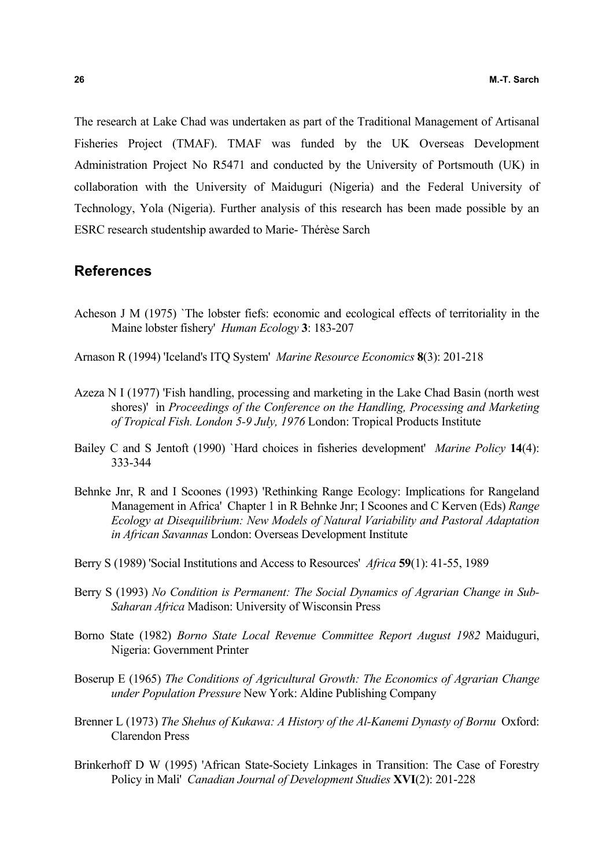The research at Lake Chad was undertaken as part of the Traditional Management of Artisanal Fisheries Project (TMAF). TMAF was funded by the UK Overseas Development Administration Project No R5471 and conducted by the University of Portsmouth (UK) in collaboration with the University of Maiduguri (Nigeria) and the Federal University of Technology, Yola (Nigeria). Further analysis of this research has been made possible by an ESRC research studentship awarded to Marie- Thérèse Sarch

# **References**

- Acheson J M (1975) `The lobster fiefs: economic and ecological effects of territoriality in the Maine lobster fishery' *Human Ecology* **3**: 183-207
- Arnason R (1994) 'Iceland's ITQ System' *Marine Resource Economics* **8**(3): 201-218
- Azeza N I (1977) 'Fish handling, processing and marketing in the Lake Chad Basin (north west shores)' in *Proceedings of the Conference on the Handling, Processing and Marketing of Tropical Fish. London 5-9 July, 1976* London: Tropical Products Institute
- Bailey C and S Jentoft (1990) `Hard choices in fisheries development' *Marine Policy* **14**(4): 333-344
- Behnke Jnr, R and I Scoones (1993) 'Rethinking Range Ecology: Implications for Rangeland Management in Africa' Chapter 1 in R Behnke Jnr; I Scoones and C Kerven (Eds) *Range Ecology at Disequilibrium: New Models of Natural Variability and Pastoral Adaptation in African Savannas* London: Overseas Development Institute
- Berry S (1989) 'Social Institutions and Access to Resources' *Africa* **59**(1): 41-55, 1989
- Berry S (1993) *No Condition is Permanent: The Social Dynamics of Agrarian Change in Sub-Saharan Africa* Madison: University of Wisconsin Press
- Borno State (1982) *Borno State Local Revenue Committee Report August 1982* Maiduguri, Nigeria: Government Printer
- Boserup E (1965) *The Conditions of Agricultural Growth: The Economics of Agrarian Change under Population Pressure* New York: Aldine Publishing Company
- Brenner L (1973) *The Shehus of Kukawa: A History of the Al-Kanemi Dynasty of Bornu* Oxford: Clarendon Press
- Brinkerhoff D W (1995) 'African State-Society Linkages in Transition: The Case of Forestry Policy in Mali' *Canadian Journal of Development Studies* **XVI**(2): 201-228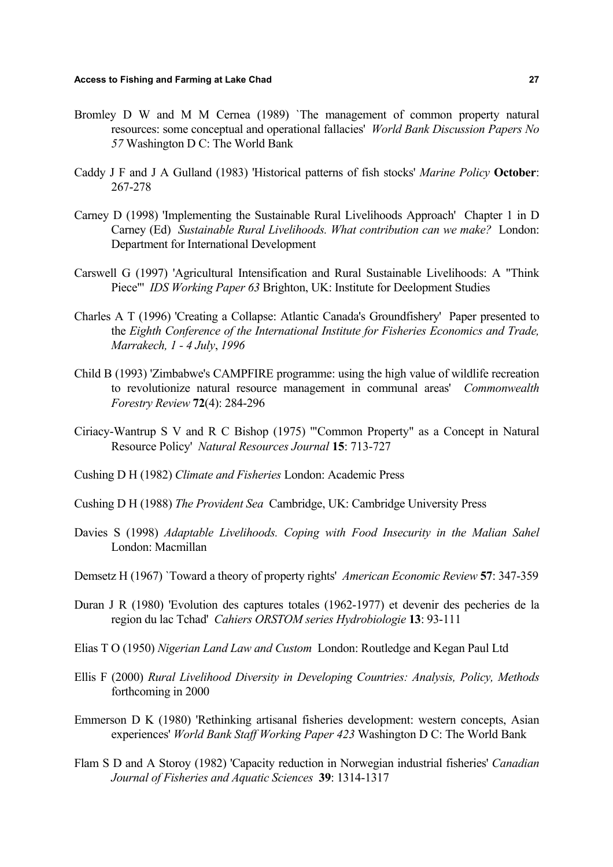- Bromley D W and M M Cernea (1989) `The management of common property natural resources: some conceptual and operational fallacies' *World Bank Discussion Papers No 57* Washington D C: The World Bank
- Caddy J F and J A Gulland (1983) 'Historical patterns of fish stocks' *Marine Policy* **October**: 267-278
- Carney D (1998) 'Implementing the Sustainable Rural Livelihoods Approach' Chapter 1 in D Carney (Ed) *Sustainable Rural Livelihoods. What contribution can we make?* London: Department for International Development
- Carswell G (1997) 'Agricultural Intensification and Rural Sustainable Livelihoods: A "Think Piece"' *IDS Working Paper 63* Brighton, UK: Institute for Deelopment Studies
- Charles A T (1996) 'Creating a Collapse: Atlantic Canada's Groundfishery' Paper presented to the *Eighth Conference of the International Institute for Fisheries Economics and Trade, Marrakech, 1 - 4 July*, *1996*
- Child B (1993) 'Zimbabwe's CAMPFIRE programme: using the high value of wildlife recreation to revolutionize natural resource management in communal areas' *Commonwealth Forestry Review* **72**(4): 284-296
- Ciriacy-Wantrup S V and R C Bishop (1975) '"Common Property" as a Concept in Natural Resource Policy' *Natural Resources Journal* **15**: 713-727
- Cushing D H (1982) *Climate and Fisheries* London: Academic Press
- Cushing D H (1988) *The Provident Sea* Cambridge, UK: Cambridge University Press
- Davies S (1998) *Adaptable Livelihoods. Coping with Food Insecurity in the Malian Sahel* London: Macmillan
- Demsetz H (1967) `Toward a theory of property rights' *American Economic Review* **57**: 347-359
- Duran J R (1980) 'Evolution des captures totales (1962-1977) et devenir des pecheries de la region du lac Tchad' *Cahiers ORSTOM series Hydrobiologie* **13**: 93-111
- Elias T O (1950) *Nigerian Land Law and Custom* London: Routledge and Kegan Paul Ltd
- Ellis F (2000) *Rural Livelihood Diversity in Developing Countries: Analysis, Policy, Methods* forthcoming in 2000
- Emmerson D K (1980) 'Rethinking artisanal fisheries development: western concepts, Asian experiences' *World Bank Staff Working Paper 423* Washington D C: The World Bank
- Flam S D and A Storoy (1982) 'Capacity reduction in Norwegian industrial fisheries' *Canadian Journal of Fisheries and Aquatic Sciences* **39**: 1314-1317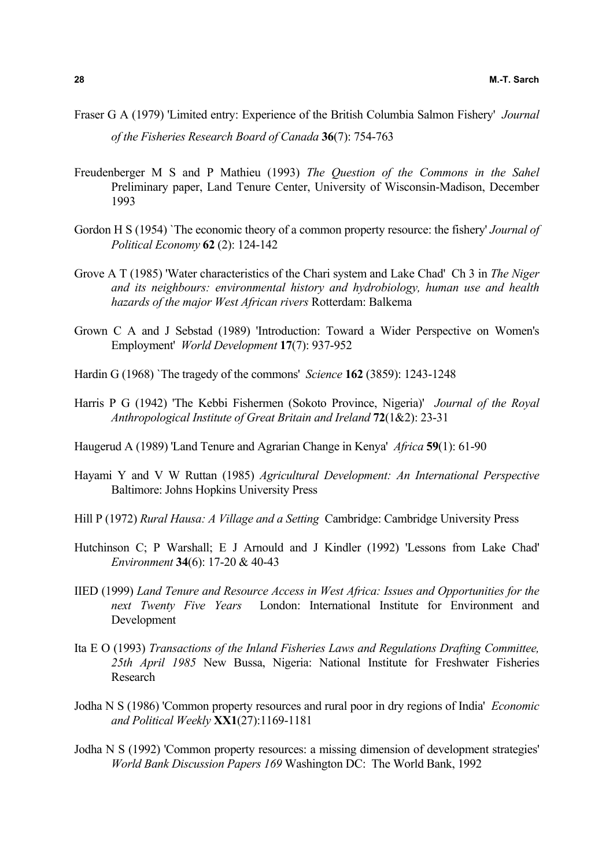- Fraser G A (1979) 'Limited entry: Experience of the British Columbia Salmon Fishery' *Journal of the Fisheries Research Board of Canada* **36**(7): 754-763
- Freudenberger M S and P Mathieu (1993) *The Question of the Commons in the Sahel* Preliminary paper, Land Tenure Center, University of Wisconsin-Madison, December 1993
- Gordon H S (1954) `The economic theory of a common property resource: the fishery' *Journal of Political Economy* **62** (2): 124-142
- Grove A T (1985) 'Water characteristics of the Chari system and Lake Chad' Ch 3 in *The Niger and its neighbours: environmental history and hydrobiology, human use and health hazards of the major West African rivers* Rotterdam: Balkema
- Grown C A and J Sebstad (1989) 'Introduction: Toward a Wider Perspective on Women's Employment' *World Development* **17**(7): 937-952
- Hardin G (1968) `The tragedy of the commons' *Science* **162** (3859): 1243-1248
- Harris P G (1942) 'The Kebbi Fishermen (Sokoto Province, Nigeria)' *Journal of the Royal Anthropological Institute of Great Britain and Ireland* **72**(1&2): 23-31
- Haugerud A (1989) 'Land Tenure and Agrarian Change in Kenya' *Africa* **59**(1): 61-90
- Hayami Y and V W Ruttan (1985) *Agricultural Development: An International Perspective* Baltimore: Johns Hopkins University Press
- Hill P (1972) *Rural Hausa: A Village and a Setting* Cambridge: Cambridge University Press
- Hutchinson C; P Warshall; E J Arnould and J Kindler (1992) 'Lessons from Lake Chad' *Environment* **34**(6): 17-20 & 40-43
- IIED (1999) *Land Tenure and Resource Access in West Africa: Issues and Opportunities for the next Twenty Five Years* London: International Institute for Environment and Development
- Ita E O (1993) *Transactions of the Inland Fisheries Laws and Regulations Drafting Committee, 25th April 1985* New Bussa, Nigeria: National Institute for Freshwater Fisheries Research
- Jodha N S (1986) 'Common property resources and rural poor in dry regions of India' *Economic and Political Weekly* **XX1**(27):1169-1181
- Jodha N S (1992) 'Common property resources: a missing dimension of development strategies' *World Bank Discussion Papers 169* Washington DC: The World Bank, 1992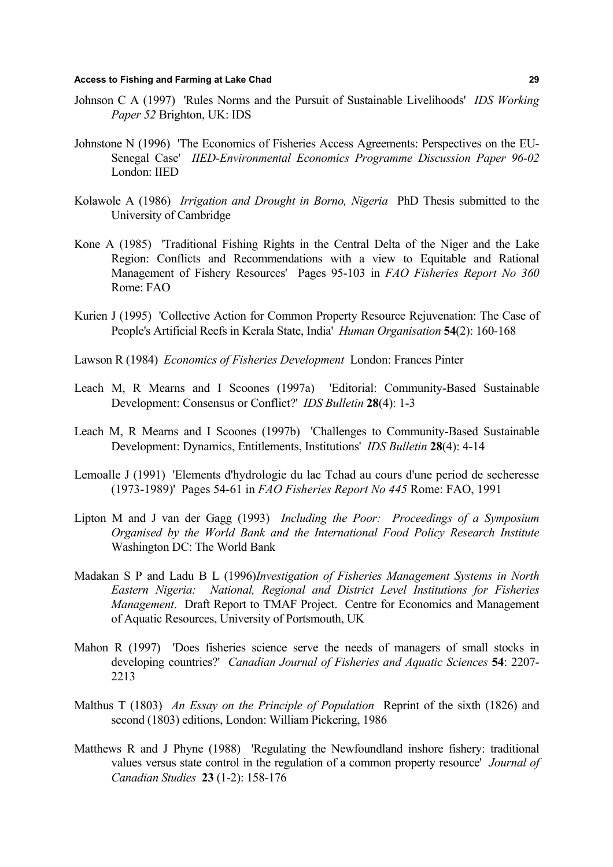- Johnson C A (1997) 'Rules Norms and the Pursuit of Sustainable Livelihoods' *IDS Working Paper 52* Brighton, UK: IDS
- Johnstone N (1996) 'The Economics of Fisheries Access Agreements: Perspectives on the EU-Senegal Case' *IIED-Environmental Economics Programme Discussion Paper 96-02* London: IIED
- Kolawole A (1986) *Irrigation and Drought in Borno, Nigeria* PhD Thesis submitted to the University of Cambridge
- Kone A (1985) 'Traditional Fishing Rights in the Central Delta of the Niger and the Lake Region: Conflicts and Recommendations with a view to Equitable and Rational Management of Fishery Resources' Pages 95-103 in *FAO Fisheries Report No 360* Rome: FAO
- Kurien J (1995) 'Collective Action for Common Property Resource Rejuvenation: The Case of People's Artificial Reefs in Kerala State, India' *Human Organisation* **54**(2): 160-168
- Lawson R (1984) *Economics of Fisheries Development* London: Frances Pinter
- Leach M, R Mearns and I Scoones (1997a) 'Editorial: Community-Based Sustainable Development: Consensus or Conflict?' *IDS Bulletin* **28**(4): 1-3
- Leach M, R Mearns and I Scoones (1997b) 'Challenges to Community-Based Sustainable Development: Dynamics, Entitlements, Institutions' *IDS Bulletin* **28**(4): 4-14
- Lemoalle J (1991) 'Elements d'hydrologie du lac Tchad au cours d'une period de secheresse (1973-1989)' Pages 54-61 in *FAO Fisheries Report No 445* Rome: FAO, 1991
- Lipton M and J van der Gagg (1993) *Including the Poor: Proceedings of a Symposium Organised by the World Bank and the International Food Policy Research Institute* Washington DC: The World Bank
- Madakan S P and Ladu B L (1996)*Investigation of Fisheries Management Systems in North Eastern Nigeria: National, Regional and District Level Institutions for Fisheries Management*. Draft Report to TMAF Project. Centre for Economics and Management of Aquatic Resources, University of Portsmouth, UK
- Mahon R (1997) 'Does fisheries science serve the needs of managers of small stocks in developing countries?' *Canadian Journal of Fisheries and Aquatic Sciences* **54**: 2207- 2213
- Malthus T (1803) *An Essay on the Principle of Population* Reprint of the sixth (1826) and second (1803) editions, London: William Pickering, 1986
- Matthews R and J Phyne (1988) 'Regulating the Newfoundland inshore fishery: traditional values versus state control in the regulation of a common property resource' *Journal of Canadian Studies* **23** (1-2): 158-176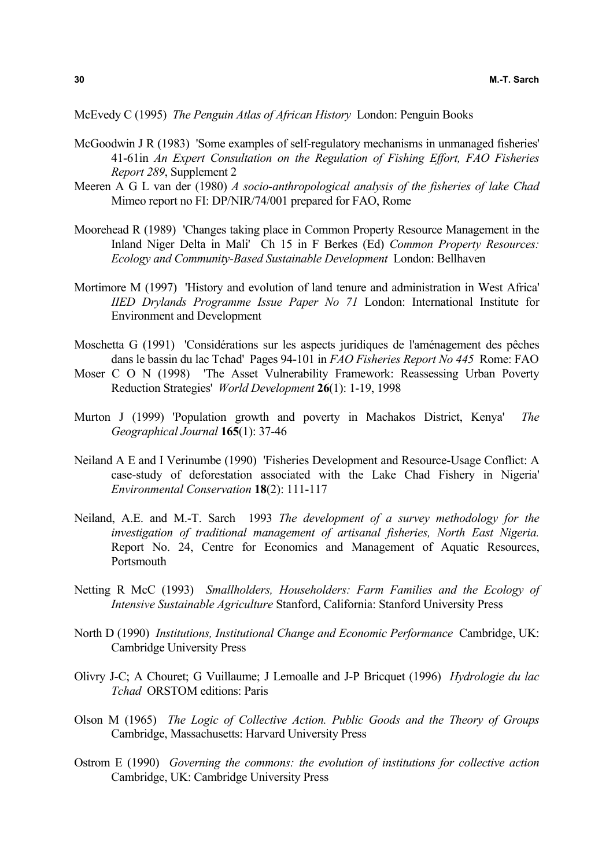McEvedy C (1995) *The Penguin Atlas of African History* London: Penguin Books

- McGoodwin J R (1983) 'Some examples of self-regulatory mechanisms in unmanaged fisheries' 41-61in *An Expert Consultation on the Regulation of Fishing Effort, FAO Fisheries Report 289*, Supplement 2
- Meeren A G L van der (1980) *A socio-anthropological analysis of the fisheries of lake Chad* Mimeo report no FI: DP/NIR/74/001 prepared for FAO, Rome
- Moorehead R (1989) 'Changes taking place in Common Property Resource Management in the Inland Niger Delta in Mali' Ch 15 in F Berkes (Ed) *Common Property Resources: Ecology and Community-Based Sustainable Development* London: Bellhaven
- Mortimore M (1997) 'History and evolution of land tenure and administration in West Africa' *IIED Drylands Programme Issue Paper No 71* London: International Institute for Environment and Development
- Moschetta G (1991) 'Considérations sur les aspects juridiques de l'aménagement des pêches dans le bassin du lac Tchad' Pages 94-101 in *FAO Fisheries Report No 445* Rome: FAO
- Moser C O N (1998) 'The Asset Vulnerability Framework: Reassessing Urban Poverty Reduction Strategies' *World Development* **26**(1): 1-19, 1998
- Murton J (1999) 'Population growth and poverty in Machakos District, Kenya' *The Geographical Journal* **165**(1): 37-46
- Neiland A E and I Verinumbe (1990) 'Fisheries Development and Resource-Usage Conflict: A case-study of deforestation associated with the Lake Chad Fishery in Nigeria' *Environmental Conservation* **18**(2): 111-117
- Neiland, A.E. and M.-T. Sarch 1993 *The development of a survey methodology for the investigation of traditional management of artisanal fisheries, North East Nigeria.* Report No. 24, Centre for Economics and Management of Aquatic Resources, Portsmouth
- Netting R McC (1993) *Smallholders, Householders: Farm Families and the Ecology of Intensive Sustainable Agriculture* Stanford, California: Stanford University Press
- North D (1990) *Institutions, Institutional Change and Economic Performance* Cambridge, UK: Cambridge University Press
- Olivry J-C; A Chouret; G Vuillaume; J Lemoalle and J-P Bricquet (1996) *Hydrologie du lac Tchad* ORSTOM editions: Paris
- Olson M (1965) *The Logic of Collective Action. Public Goods and the Theory of Groups* Cambridge, Massachusetts: Harvard University Press
- Ostrom E (1990) *Governing the commons: the evolution of institutions for collective action* Cambridge, UK: Cambridge University Press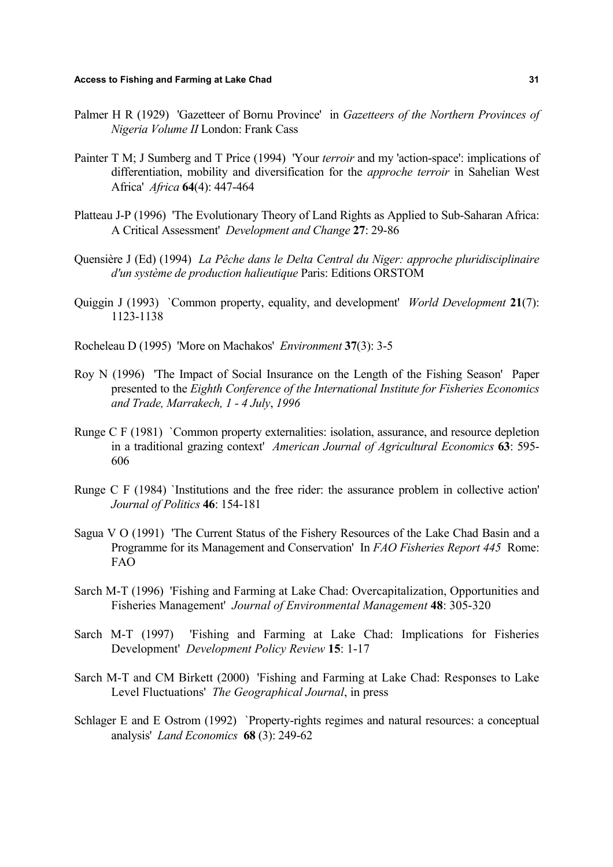- Palmer H R (1929) 'Gazetteer of Bornu Province' in *Gazetteers of the Northern Provinces of Nigeria Volume II* London: Frank Cass
- Painter T M; J Sumberg and T Price (1994) 'Your *terroir* and my 'action-space': implications of differentiation, mobility and diversification for the *approche terroir* in Sahelian West Africa' *Africa* **64**(4): 447-464
- Platteau J-P (1996) 'The Evolutionary Theory of Land Rights as Applied to Sub-Saharan Africa: A Critical Assessment' *Development and Change* **27**: 29-86
- Quensière J (Ed) (1994) *La Pêche dans le Delta Central du Niger: approche pluridisciplinaire d'un système de production halieutique* Paris: Editions ORSTOM
- Quiggin J (1993) `Common property, equality, and development' *World Development* **21**(7): 1123-1138
- Rocheleau D (1995) 'More on Machakos' *Environment* **37**(3): 3-5
- Roy N (1996) 'The Impact of Social Insurance on the Length of the Fishing Season' Paper presented to the *Eighth Conference of the International Institute for Fisheries Economics and Trade, Marrakech, 1 - 4 July*, *1996*
- Runge C F (1981) `Common property externalities: isolation, assurance, and resource depletion in a traditional grazing context' *American Journal of Agricultural Economics* **63**: 595- 606
- Runge C F (1984) `Institutions and the free rider: the assurance problem in collective action' *Journal of Politics* **46**: 154-181
- Sagua V O (1991) 'The Current Status of the Fishery Resources of the Lake Chad Basin and a Programme for its Management and Conservation' In *FAO Fisheries Report 445* Rome: FAO
- Sarch M-T (1996) 'Fishing and Farming at Lake Chad: Overcapitalization, Opportunities and Fisheries Management' *Journal of Environmental Management* **48**: 305-320
- Sarch M-T (1997) 'Fishing and Farming at Lake Chad: Implications for Fisheries Development' *Development Policy Review* **15**: 1-17
- Sarch M-T and CM Birkett (2000) 'Fishing and Farming at Lake Chad: Responses to Lake Level Fluctuations' *The Geographical Journal*, in press
- Schlager E and E Ostrom (1992) `Property-rights regimes and natural resources: a conceptual analysis' *Land Economics* **68** (3): 249-62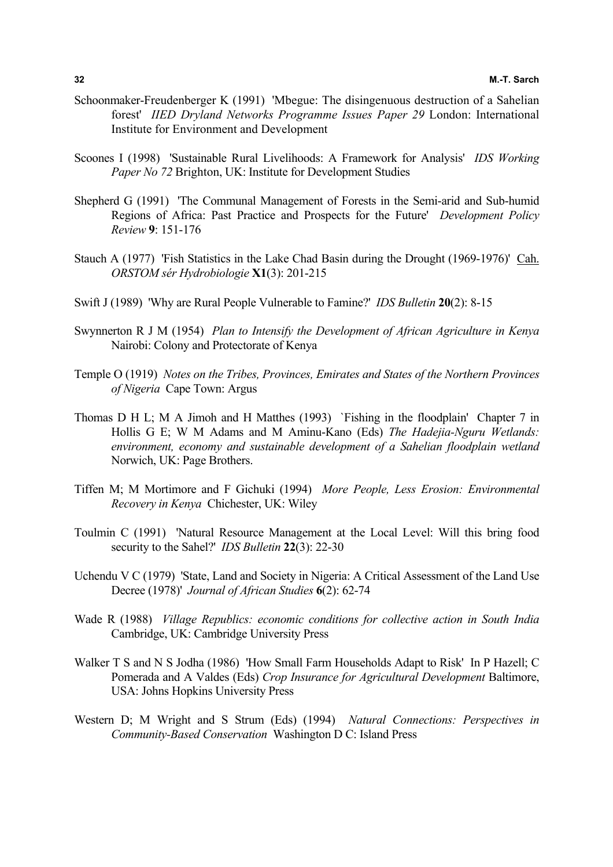- Schoonmaker-Freudenberger K (1991) 'Mbegue: The disingenuous destruction of a Sahelian forest' *IIED Dryland Networks Programme Issues Paper 29* London: International Institute for Environment and Development
- Scoones I (1998) 'Sustainable Rural Livelihoods: A Framework for Analysis' *IDS Working Paper No 72* Brighton, UK: Institute for Development Studies
- Shepherd G (1991) 'The Communal Management of Forests in the Semi-arid and Sub-humid Regions of Africa: Past Practice and Prospects for the Future' *Development Policy Review* **9**: 151-176
- Stauch A (1977) 'Fish Statistics in the Lake Chad Basin during the Drought (1969-1976)' Cah. *ORSTOM sér Hydrobiologie* **X1**(3): 201-215
- Swift J (1989) 'Why are Rural People Vulnerable to Famine?' *IDS Bulletin* **20**(2): 8-15
- Swynnerton R J M (1954) *Plan to Intensify the Development of African Agriculture in Kenya* Nairobi: Colony and Protectorate of Kenya
- Temple O (1919) *Notes on the Tribes, Provinces, Emirates and States of the Northern Provinces of Nigeria* Cape Town: Argus
- Thomas D H L; M A Jimoh and H Matthes (1993) `Fishing in the floodplain' Chapter 7 in Hollis G E; W M Adams and M Aminu-Kano (Eds) *The Hadejia-Nguru Wetlands: environment, economy and sustainable development of a Sahelian floodplain wetland* Norwich, UK: Page Brothers.
- Tiffen M; M Mortimore and F Gichuki (1994) *More People, Less Erosion: Environmental Recovery in Kenya* Chichester, UK: Wiley
- Toulmin C (1991) 'Natural Resource Management at the Local Level: Will this bring food security to the Sahel?' *IDS Bulletin* **22**(3): 22-30
- Uchendu V C (1979) 'State, Land and Society in Nigeria: A Critical Assessment of the Land Use Decree (1978)' *Journal of African Studies* **6**(2): 62-74
- Wade R (1988) *Village Republics: economic conditions for collective action in South India* Cambridge, UK: Cambridge University Press
- Walker T S and N S Jodha (1986) 'How Small Farm Households Adapt to Risk' In P Hazell; C Pomerada and A Valdes (Eds) *Crop Insurance for Agricultural Development* Baltimore, USA: Johns Hopkins University Press
- Western D; M Wright and S Strum (Eds) (1994) *Natural Connections: Perspectives in Community-Based Conservation* Washington D C: Island Press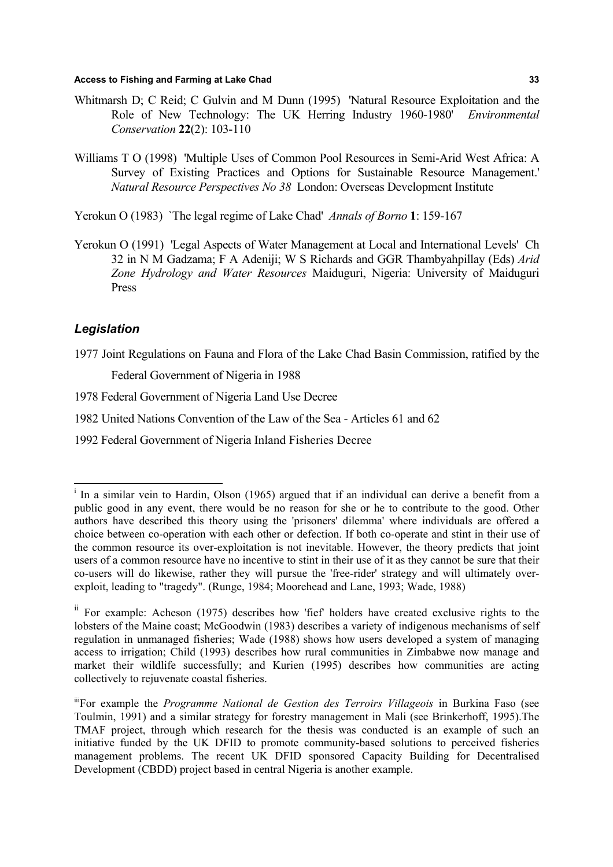- Whitmarsh D; C Reid; C Gulvin and M Dunn (1995) 'Natural Resource Exploitation and the Role of New Technology: The UK Herring Industry 1960-1980' *Environmental Conservation* **22**(2): 103-110
- Williams T O (1998) 'Multiple Uses of Common Pool Resources in Semi-Arid West Africa: A Survey of Existing Practices and Options for Sustainable Resource Management.' *Natural Resource Perspectives No 38* London: Overseas Development Institute

Yerokun O (1983) `The legal regime of Lake Chad' *Annals of Borno* **1**: 159-167

Yerokun O (1991) 'Legal Aspects of Water Management at Local and International Levels' Ch 32 in N M Gadzama; F A Adeniji; W S Richards and GGR Thambyahpillay (Eds) *Arid Zone Hydrology and Water Resources* Maiduguri, Nigeria: University of Maiduguri Press

### *Legislation*

 $\overline{a}$ 

1977 Joint Regulations on Fauna and Flora of the Lake Chad Basin Commission, ratified by the

Federal Government of Nigeria in 1988

1978 Federal Government of Nigeria Land Use Decree

1982 United Nations Convention of the Law of the Sea - Articles 61 and 62

1992 Federal Government of Nigeria Inland Fisheries Decree

<sup>&</sup>lt;sup>i</sup> In a similar vein to Hardin, Olson (1965) argued that if an individual can derive a benefit from a public good in any event, there would be no reason for she or he to contribute to the good. Other authors have described this theory using the 'prisoners' dilemma' where individuals are offered a choice between co-operation with each other or defection. If both co-operate and stint in their use of the common resource its over-exploitation is not inevitable. However, the theory predicts that joint users of a common resource have no incentive to stint in their use of it as they cannot be sure that their co-users will do likewise, rather they will pursue the 'free-rider' strategy and will ultimately overexploit, leading to "tragedy". (Runge, 1984; Moorehead and Lane, 1993; Wade, 1988)

ii For example: Acheson (1975) describes how 'fief' holders have created exclusive rights to the lobsters of the Maine coast; McGoodwin (1983) describes a variety of indigenous mechanisms of self regulation in unmanaged fisheries; Wade (1988) shows how users developed a system of managing access to irrigation; Child (1993) describes how rural communities in Zimbabwe now manage and market their wildlife successfully; and Kurien (1995) describes how communities are acting collectively to rejuvenate coastal fisheries.

iiiFor example the *Programme National de Gestion des Terroirs Villageois* in Burkina Faso (see Toulmin, 1991) and a similar strategy for forestry management in Mali (see Brinkerhoff, 1995).The TMAF project, through which research for the thesis was conducted is an example of such an initiative funded by the UK DFID to promote community-based solutions to perceived fisheries management problems. The recent UK DFID sponsored Capacity Building for Decentralised Development (CBDD) project based in central Nigeria is another example.